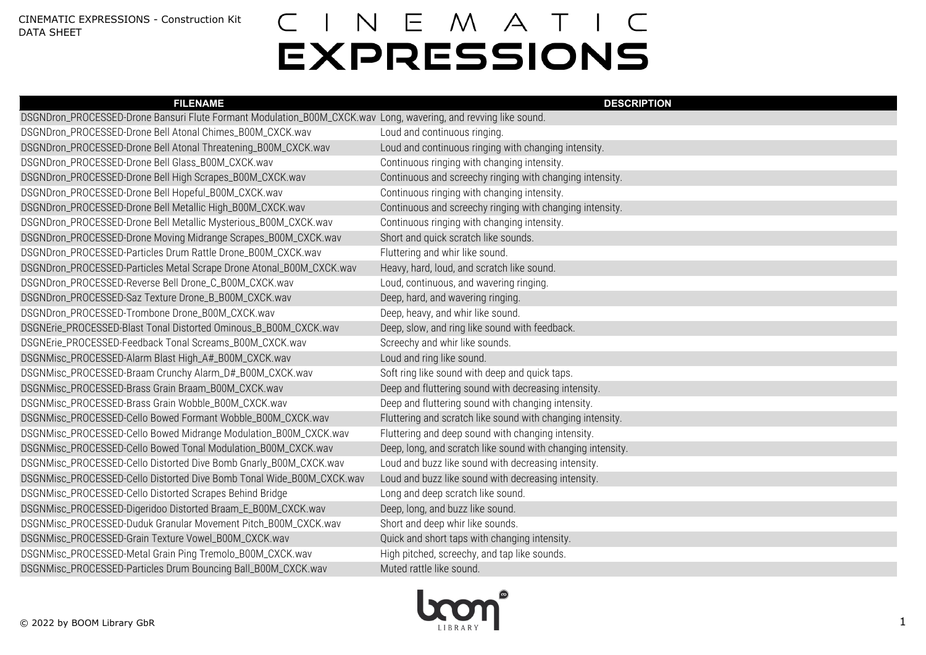| <b>FILENAME</b>                                                                                                 | <b>DESCRIPTION</b>                                          |
|-----------------------------------------------------------------------------------------------------------------|-------------------------------------------------------------|
| DSGNDron_PROCESSED-Drone Bansuri Flute Formant Modulation_B00M_CXCK.wav Long, wavering, and revving like sound. |                                                             |
| DSGNDron_PROCESSED-Drone Bell Atonal Chimes_B00M_CXCK.wav                                                       | Loud and continuous ringing.                                |
| DSGNDron_PROCESSED-Drone Bell Atonal Threatening_B00M_CXCK.wav                                                  | Loud and continuous ringing with changing intensity.        |
| DSGNDron_PROCESSED-Drone Bell Glass_B00M_CXCK.wav                                                               | Continuous ringing with changing intensity.                 |
| DSGNDron_PROCESSED-Drone Bell High Scrapes_B00M_CXCK.wav                                                        | Continuous and screechy ringing with changing intensity.    |
| DSGNDron_PROCESSED-Drone Bell Hopeful_B00M_CXCK.wav                                                             | Continuous ringing with changing intensity.                 |
| DSGNDron_PROCESSED-Drone Bell Metallic High_B00M_CXCK.wav                                                       | Continuous and screechy ringing with changing intensity.    |
| DSGNDron_PROCESSED-Drone Bell Metallic Mysterious_B00M_CXCK.wav                                                 | Continuous ringing with changing intensity.                 |
| DSGNDron_PROCESSED-Drone Moving Midrange Scrapes_B00M_CXCK.wav                                                  | Short and quick scratch like sounds.                        |
| DSGNDron_PROCESSED-Particles Drum Rattle Drone_B00M_CXCK.wav                                                    | Fluttering and whir like sound.                             |
| DSGNDron_PROCESSED-Particles Metal Scrape Drone Atonal_B00M_CXCK.wav                                            | Heavy, hard, loud, and scratch like sound.                  |
| DSGNDron_PROCESSED-Reverse Bell Drone_C_B00M_CXCK.wav                                                           | Loud, continuous, and wavering ringing.                     |
| DSGNDron_PROCESSED-Saz Texture Drone_B_B00M_CXCK.wav                                                            | Deep, hard, and wavering ringing.                           |
| DSGNDron_PROCESSED-Trombone Drone_B00M_CXCK.wav                                                                 | Deep, heavy, and whir like sound.                           |
| DSGNErie_PROCESSED-Blast Tonal Distorted Ominous_B_B00M_CXCK.wav                                                | Deep, slow, and ring like sound with feedback.              |
| DSGNErie_PROCESSED-Feedback Tonal Screams_B00M_CXCK.wav                                                         | Screechy and whir like sounds.                              |
| DSGNMisc_PROCESSED-Alarm Blast High_A#_B00M_CXCK.wav                                                            | Loud and ring like sound.                                   |
| DSGNMisc_PROCESSED-Braam Crunchy Alarm_D#_B00M_CXCK.wav                                                         | Soft ring like sound with deep and quick taps.              |
| DSGNMisc_PROCESSED-Brass Grain Braam_B00M_CXCK.wav                                                              | Deep and fluttering sound with decreasing intensity.        |
| DSGNMisc_PROCESSED-Brass Grain Wobble_B00M_CXCK.wav                                                             | Deep and fluttering sound with changing intensity.          |
| DSGNMisc_PROCESSED-Cello Bowed Formant Wobble_B00M_CXCK.wav                                                     | Fluttering and scratch like sound with changing intensity.  |
| DSGNMisc_PROCESSED-Cello Bowed Midrange Modulation_B00M_CXCK.wav                                                | Fluttering and deep sound with changing intensity.          |
| DSGNMisc_PROCESSED-Cello Bowed Tonal Modulation_B00M_CXCK.wav                                                   | Deep, long, and scratch like sound with changing intensity. |
| DSGNMisc_PROCESSED-Cello Distorted Dive Bomb Gnarly_B00M_CXCK.wav                                               | Loud and buzz like sound with decreasing intensity.         |
| DSGNMisc_PROCESSED-Cello Distorted Dive Bomb Tonal Wide_B00M_CXCK.wav                                           | Loud and buzz like sound with decreasing intensity.         |
| DSGNMisc_PROCESSED-Cello Distorted Scrapes Behind Bridge                                                        | Long and deep scratch like sound.                           |
| DSGNMisc_PROCESSED-Digeridoo Distorted Braam_E_B00M_CXCK.wav                                                    | Deep, long, and buzz like sound.                            |
| DSGNMisc_PROCESSED-Duduk Granular Movement Pitch_B00M_CXCK.wav                                                  | Short and deep whir like sounds.                            |
| DSGNMisc_PROCESSED-Grain Texture Vowel_B00M_CXCK.wav                                                            | Quick and short taps with changing intensity.               |
| DSGNMisc_PROCESSED-Metal Grain Ping Tremolo_B00M_CXCK.wav                                                       | High pitched, screechy, and tap like sounds.                |
| DSGNMisc_PROCESSED-Particles Drum Bouncing Ball_B00M_CXCK.wav                                                   | Muted rattle like sound.                                    |

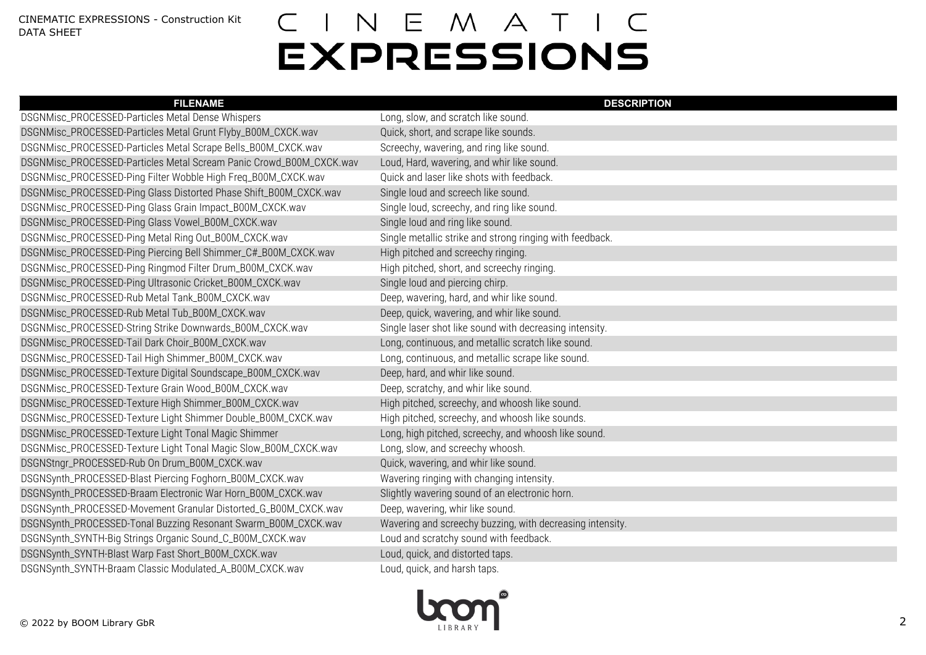| <b>FILENAME</b>                                                     | <b>DESCRIPTION</b>                                        |
|---------------------------------------------------------------------|-----------------------------------------------------------|
| DSGNMisc_PROCESSED-Particles Metal Dense Whispers                   | Long, slow, and scratch like sound.                       |
| DSGNMisc_PROCESSED-Particles Metal Grunt Flyby_B00M_CXCK.wav        | Quick, short, and scrape like sounds.                     |
| DSGNMisc_PROCESSED-Particles Metal Scrape Bells_B00M_CXCK.wav       | Screechy, wavering, and ring like sound.                  |
| DSGNMisc_PROCESSED-Particles Metal Scream Panic Crowd_B00M_CXCK.wav | Loud, Hard, wavering, and whir like sound.                |
| DSGNMisc_PROCESSED-Ping Filter Wobble High Freq_B00M_CXCK.wav       | Quick and laser like shots with feedback.                 |
| DSGNMisc_PROCESSED-Ping Glass Distorted Phase Shift_B00M_CXCK.wav   | Single loud and screech like sound.                       |
| DSGNMisc_PROCESSED-Ping Glass Grain Impact_B00M_CXCK.wav            | Single loud, screechy, and ring like sound.               |
| DSGNMisc_PROCESSED-Ping Glass Vowel_B00M_CXCK.wav                   | Single loud and ring like sound.                          |
| DSGNMisc_PROCESSED-Ping Metal Ring Out_B00M_CXCK.wav                | Single metallic strike and strong ringing with feedback.  |
| DSGNMisc_PROCESSED-Ping Piercing Bell Shimmer_C#_B00M_CXCK.wav      | High pitched and screechy ringing.                        |
| DSGNMisc_PROCESSED-Ping Ringmod Filter Drum_B00M_CXCK.wav           | High pitched, short, and screechy ringing.                |
| DSGNMisc_PROCESSED-Ping Ultrasonic Cricket_B00M_CXCK.wav            | Single loud and piercing chirp.                           |
| DSGNMisc_PROCESSED-Rub Metal Tank_B00M_CXCK.wav                     | Deep, wavering, hard, and whir like sound.                |
| DSGNMisc_PROCESSED-Rub Metal Tub_B00M_CXCK.wav                      | Deep, quick, wavering, and whir like sound.               |
| DSGNMisc_PROCESSED-String Strike Downwards_B00M_CXCK.wav            | Single laser shot like sound with decreasing intensity.   |
| DSGNMisc_PROCESSED-Tail Dark Choir_B00M_CXCK.wav                    | Long, continuous, and metallic scratch like sound.        |
| DSGNMisc_PROCESSED-Tail High Shimmer_B00M_CXCK.wav                  | Long, continuous, and metallic scrape like sound.         |
| DSGNMisc_PROCESSED-Texture Digital Soundscape_B00M_CXCK.wav         | Deep, hard, and whir like sound.                          |
| DSGNMisc_PROCESSED-Texture Grain Wood_B00M_CXCK.wav                 | Deep, scratchy, and whir like sound.                      |
| DSGNMisc_PROCESSED-Texture High Shimmer_B00M_CXCK.wav               | High pitched, screechy, and whoosh like sound.            |
| DSGNMisc_PROCESSED-Texture Light Shimmer Double_B00M_CXCK.wav       | High pitched, screechy, and whoosh like sounds.           |
| DSGNMisc_PROCESSED-Texture Light Tonal Magic Shimmer                | Long, high pitched, screechy, and whoosh like sound.      |
| DSGNMisc_PROCESSED-Texture Light Tonal Magic Slow_B00M_CXCK.wav     | Long, slow, and screechy whoosh.                          |
| DSGNStngr_PROCESSED-Rub On Drum_B00M_CXCK.wav                       | Quick, wavering, and whir like sound.                     |
| DSGNSynth_PROCESSED-Blast Piercing Foghorn_B00M_CXCK.wav            | Wavering ringing with changing intensity.                 |
| DSGNSynth_PROCESSED-Braam Electronic War Horn_B00M_CXCK.wav         | Slightly wavering sound of an electronic horn.            |
| DSGNSynth_PROCESSED-Movement Granular Distorted_G_B00M_CXCK.wav     | Deep, wavering, whir like sound.                          |
| DSGNSynth_PROCESSED-Tonal Buzzing Resonant Swarm_B00M_CXCK.wav      | Wavering and screechy buzzing, with decreasing intensity. |
| DSGNSynth_SYNTH-Big Strings Organic Sound_C_B00M_CXCK.wav           | Loud and scratchy sound with feedback.                    |
| DSGNSynth_SYNTH-Blast Warp Fast Short_B00M_CXCK.wav                 | Loud, quick, and distorted taps.                          |
| DSGNSynth_SYNTH-Braam Classic Modulated_A_B00M_CXCK.wav             | Loud, quick, and harsh taps.                              |

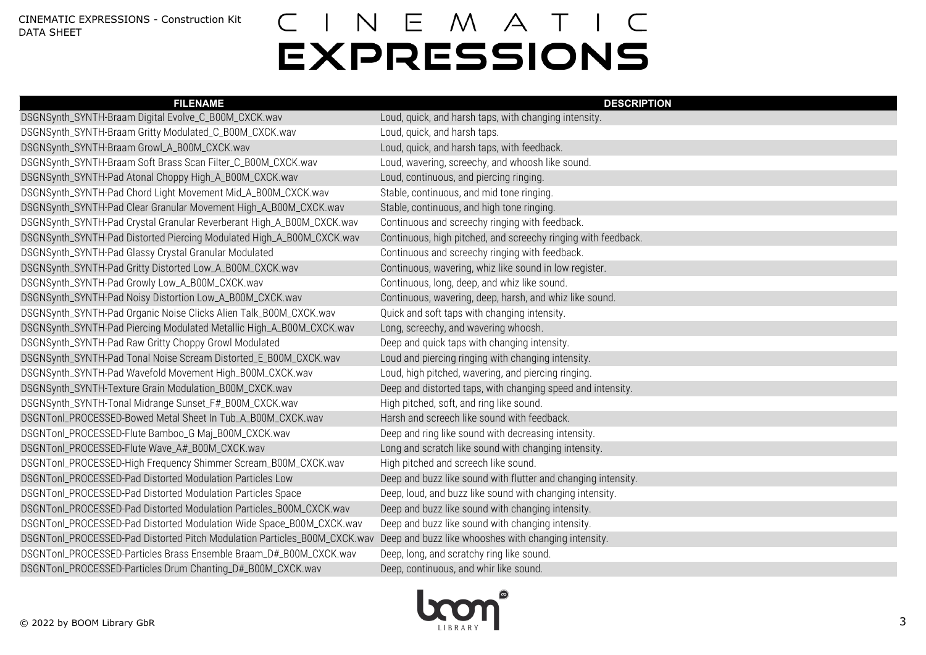| <b>FILENAME</b>                                                           | <b>DESCRIPTION</b>                                            |
|---------------------------------------------------------------------------|---------------------------------------------------------------|
| DSGNSynth_SYNTH-Braam Digital Evolve_C_B00M_CXCK.wav                      | Loud, quick, and harsh taps, with changing intensity.         |
| DSGNSynth_SYNTH-Braam Gritty Modulated_C_B00M_CXCK.wav                    | Loud, quick, and harsh taps.                                  |
| DSGNSynth_SYNTH-Braam Growl_A_B00M_CXCK.wav                               | Loud, quick, and harsh taps, with feedback.                   |
| DSGNSynth_SYNTH-Braam Soft Brass Scan Filter_C_B00M_CXCK.wav              | Loud, wavering, screechy, and whoosh like sound.              |
| DSGNSynth_SYNTH-Pad Atonal Choppy High_A_B00M_CXCK.wav                    | Loud, continuous, and piercing ringing.                       |
| DSGNSynth_SYNTH-Pad Chord Light Movement Mid_A_B00M_CXCK.wav              | Stable, continuous, and mid tone ringing.                     |
| DSGNSynth_SYNTH-Pad Clear Granular Movement High_A_B00M_CXCK.wav          | Stable, continuous, and high tone ringing.                    |
| DSGNSynth_SYNTH-Pad Crystal Granular Reverberant High_A_B00M_CXCK.wav     | Continuous and screechy ringing with feedback.                |
| DSGNSynth_SYNTH-Pad Distorted Piercing Modulated High_A_B00M_CXCK.wav     | Continuous, high pitched, and screechy ringing with feedback. |
| DSGNSynth_SYNTH-Pad Glassy Crystal Granular Modulated                     | Continuous and screechy ringing with feedback.                |
| DSGNSynth_SYNTH-Pad Gritty Distorted Low_A_B00M_CXCK.wav                  | Continuous, wavering, whiz like sound in low register.        |
| DSGNSynth_SYNTH-Pad Growly Low_A_B00M_CXCK.wav                            | Continuous, long, deep, and whiz like sound.                  |
| DSGNSynth_SYNTH-Pad Noisy Distortion Low_A_B00M_CXCK.wav                  | Continuous, wavering, deep, harsh, and whiz like sound.       |
| DSGNSynth_SYNTH-Pad Organic Noise Clicks Alien Talk_B00M_CXCK.wav         | Quick and soft taps with changing intensity.                  |
| DSGNSynth_SYNTH-Pad Piercing Modulated Metallic High_A_B00M_CXCK.wav      | Long, screechy, and wavering whoosh.                          |
| DSGNSynth_SYNTH-Pad Raw Gritty Choppy Growl Modulated                     | Deep and quick taps with changing intensity.                  |
| DSGNSynth_SYNTH-Pad Tonal Noise Scream Distorted_E_B00M_CXCK.wav          | Loud and piercing ringing with changing intensity.            |
| DSGNSynth_SYNTH-Pad Wavefold Movement High_B00M_CXCK.wav                  | Loud, high pitched, wavering, and piercing ringing.           |
| DSGNSynth_SYNTH-Texture Grain Modulation_B00M_CXCK.wav                    | Deep and distorted taps, with changing speed and intensity.   |
| DSGNSynth_SYNTH-Tonal Midrange Sunset_F#_B00M_CXCK.wav                    | High pitched, soft, and ring like sound.                      |
| DSGNTonl_PROCESSED-Bowed Metal Sheet In Tub_A_B00M_CXCK.wav               | Harsh and screech like sound with feedback.                   |
| DSGNTonl_PROCESSED-Flute Bamboo_G Maj_B00M_CXCK.wav                       | Deep and ring like sound with decreasing intensity.           |
| DSGNTonl_PROCESSED-Flute Wave_A#_B00M_CXCK.wav                            | Long and scratch like sound with changing intensity.          |
| DSGNTonl_PROCESSED-High Frequency Shimmer Scream_B00M_CXCK.wav            | High pitched and screech like sound.                          |
| DSGNTonl_PROCESSED-Pad Distorted Modulation Particles Low                 | Deep and buzz like sound with flutter and changing intensity. |
| DSGNTonl_PROCESSED-Pad Distorted Modulation Particles Space               | Deep, loud, and buzz like sound with changing intensity.      |
| DSGNTonl_PROCESSED-Pad Distorted Modulation Particles_B00M_CXCK.wav       | Deep and buzz like sound with changing intensity.             |
| DSGNTonl_PROCESSED-Pad Distorted Modulation Wide Space_B00M_CXCK.wav      | Deep and buzz like sound with changing intensity.             |
| DSGNTonl_PROCESSED-Pad Distorted Pitch Modulation Particles_B00M_CXCK.wav | Deep and buzz like whooshes with changing intensity.          |
| DSGNTonl_PROCESSED-Particles Brass Ensemble Braam_D#_B00M_CXCK.wav        | Deep, long, and scratchy ring like sound.                     |
| DSGNTonl_PROCESSED-Particles Drum Chanting_D#_B00M_CXCK.wav               | Deep, continuous, and whir like sound.                        |

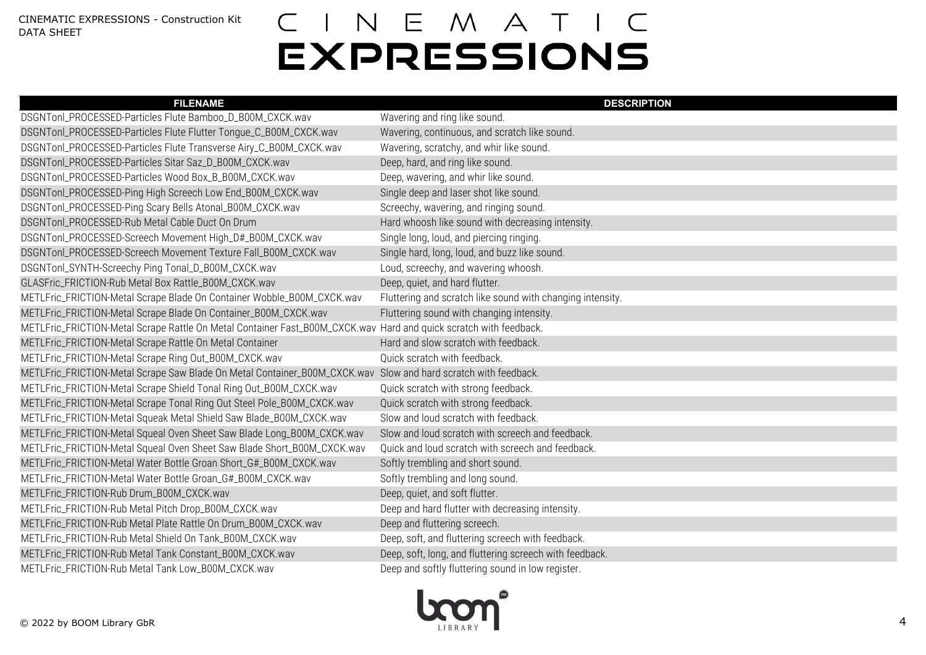| <b>FILENAME</b>                                                                                                   | <b>DESCRIPTION</b>                                         |
|-------------------------------------------------------------------------------------------------------------------|------------------------------------------------------------|
| DSGNTonl_PROCESSED-Particles Flute Bamboo_D_B00M_CXCK.wav                                                         | Wavering and ring like sound.                              |
| DSGNTonl_PROCESSED-Particles Flute Flutter Tongue_C_B00M_CXCK.wav                                                 | Wavering, continuous, and scratch like sound.              |
| DSGNTonl_PROCESSED-Particles Flute Transverse Airy_C_B00M_CXCK.wav                                                | Wavering, scratchy, and whir like sound.                   |
| DSGNTonl_PROCESSED-Particles Sitar Saz_D_B00M_CXCK.wav                                                            | Deep, hard, and ring like sound.                           |
| DSGNTonl_PROCESSED-Particles Wood Box_B_B00M_CXCK.wav                                                             | Deep, wavering, and whir like sound.                       |
| DSGNTonl_PROCESSED-Ping High Screech Low End_B00M_CXCK.wav                                                        | Single deep and laser shot like sound.                     |
| DSGNTonl_PROCESSED-Ping Scary Bells Atonal_B00M_CXCK.wav                                                          | Screechy, wavering, and ringing sound.                     |
| DSGNTonl_PROCESSED-Rub Metal Cable Duct On Drum                                                                   | Hard whoosh like sound with decreasing intensity.          |
| DSGNTonl_PROCESSED-Screech Movement High_D#_B00M_CXCK.wav                                                         | Single long, loud, and piercing ringing.                   |
| DSGNTonl_PROCESSED-Screech Movement Texture Fall_B00M_CXCK.wav                                                    | Single hard, long, loud, and buzz like sound.              |
| DSGNTonl_SYNTH-Screechy Ping Tonal_D_B00M_CXCK.wav                                                                | Loud, screechy, and wavering whoosh.                       |
| GLASFric_FRICTION-Rub Metal Box Rattle_B00M_CXCK.wav                                                              | Deep, quiet, and hard flutter.                             |
| METLFric_FRICTION-Metal Scrape Blade On Container Wobble_B00M_CXCK.wav                                            | Fluttering and scratch like sound with changing intensity. |
| METLFric_FRICTION-Metal Scrape Blade On Container_B00M_CXCK.wav                                                   | Fluttering sound with changing intensity.                  |
| METLFric_FRICTION-Metal Scrape Rattle On Metal Container Fast_B00M_CXCK.wav Hard and quick scratch with feedback. |                                                            |
| METLFric_FRICTION-Metal Scrape Rattle On Metal Container                                                          | Hard and slow scratch with feedback.                       |
| METLFric_FRICTION-Metal Scrape Ring Out_B00M_CXCK.wav                                                             | Quick scratch with feedback.                               |
| METLFric_FRICTION-Metal Scrape Saw Blade On Metal Container_B00M_CXCK.wav Slow and hard scratch with feedback.    |                                                            |
| METLFric_FRICTION-Metal Scrape Shield Tonal Ring Out_B00M_CXCK.wav                                                | Quick scratch with strong feedback.                        |
| METLFric_FRICTION-Metal Scrape Tonal Ring Out Steel Pole_B00M_CXCK.wav                                            | Quick scratch with strong feedback.                        |
| METLFric_FRICTION-Metal Squeak Metal Shield Saw Blade_B00M_CXCK.wav                                               | Slow and loud scratch with feedback.                       |
| METLFric_FRICTION-Metal Squeal Oven Sheet Saw Blade Long_B00M_CXCK.wav                                            | Slow and loud scratch with screech and feedback.           |
| METLFric_FRICTION-Metal Squeal Oven Sheet Saw Blade Short_B00M_CXCK.wav                                           | Quick and loud scratch with screech and feedback.          |
| METLFric_FRICTION-Metal Water Bottle Groan Short_G#_B00M_CXCK.wav                                                 | Softly trembling and short sound.                          |
| METLFric_FRICTION-Metal Water Bottle Groan_G#_B00M_CXCK.wav                                                       | Softly trembling and long sound.                           |
| METLFric_FRICTION-Rub Drum_B00M_CXCK.wav                                                                          | Deep, quiet, and soft flutter.                             |
| METLFric_FRICTION-Rub Metal Pitch Drop_B00M_CXCK.wav                                                              | Deep and hard flutter with decreasing intensity.           |
| METLFric_FRICTION-Rub Metal Plate Rattle On Drum_B00M_CXCK.wav                                                    | Deep and fluttering screech.                               |
| METLFric_FRICTION-Rub Metal Shield On Tank_B00M_CXCK.wav                                                          | Deep, soft, and fluttering screech with feedback.          |
| METLFric_FRICTION-Rub Metal Tank Constant_B00M_CXCK.wav                                                           | Deep, soft, long, and fluttering screech with feedback.    |
| METLFric_FRICTION-Rub Metal Tank Low_B00M_CXCK.wav                                                                | Deep and softly fluttering sound in low register.          |

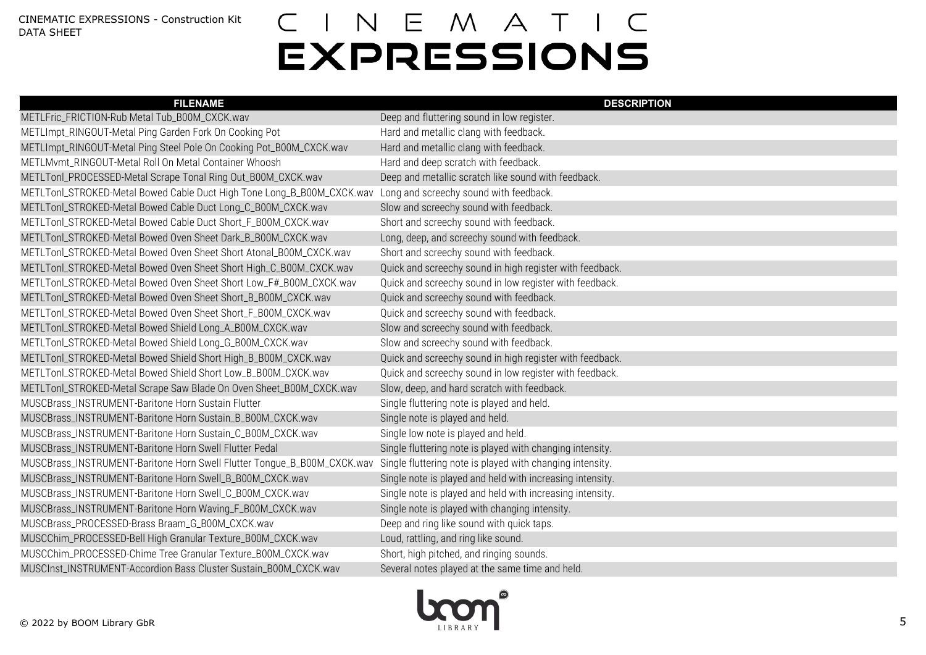| <b>FILENAME</b>                                                         | <b>DESCRIPTION</b>                                        |
|-------------------------------------------------------------------------|-----------------------------------------------------------|
| METLFric_FRICTION-Rub Metal Tub_B00M_CXCK.wav                           | Deep and fluttering sound in low register.                |
| METLImpt_RINGOUT-Metal Ping Garden Fork On Cooking Pot                  | Hard and metallic clang with feedback.                    |
| METLImpt_RINGOUT-Metal Ping Steel Pole On Cooking Pot_B00M_CXCK.wav     | Hard and metallic clang with feedback.                    |
| METLMvmt_RINGOUT-Metal Roll On Metal Container Whoosh                   | Hard and deep scratch with feedback.                      |
| METLTonl_PROCESSED-Metal Scrape Tonal Ring Out_B00M_CXCK.wav            | Deep and metallic scratch like sound with feedback.       |
| METLTonl_STROKED-Metal Bowed Cable Duct High Tone Long_B_B00M_CXCK.wav  | Long and screechy sound with feedback.                    |
| METLTonl_STROKED-Metal Bowed Cable Duct Long_C_B00M_CXCK.wav            | Slow and screechy sound with feedback.                    |
| METLTonl_STROKED-Metal Bowed Cable Duct Short_F_B00M_CXCK.wav           | Short and screechy sound with feedback.                   |
| METLTonl_STROKED-Metal Bowed Oven Sheet Dark_B_B00M_CXCK.wav            | Long, deep, and screechy sound with feedback.             |
| METLTonl_STROKED-Metal Bowed Oven Sheet Short Atonal_B00M_CXCK.wav      | Short and screechy sound with feedback.                   |
| METLTonl_STROKED-Metal Bowed Oven Sheet Short High_C_B00M_CXCK.wav      | Quick and screechy sound in high register with feedback.  |
| METLTonl_STROKED-Metal Bowed Oven Sheet Short Low_F#_B00M_CXCK.wav      | Quick and screechy sound in low register with feedback.   |
| METLTonl_STROKED-Metal Bowed Oven Sheet Short_B_B00M_CXCK.wav           | Quick and screechy sound with feedback.                   |
| METLTonl_STROKED-Metal Bowed Oven Sheet Short_F_B00M_CXCK.wav           | Quick and screechy sound with feedback.                   |
| METLTonl_STROKED-Metal Bowed Shield Long_A_B00M_CXCK.wav                | Slow and screechy sound with feedback.                    |
| METLTonl_STROKED-Metal Bowed Shield Long_G_B00M_CXCK.wav                | Slow and screechy sound with feedback.                    |
| METLTonl_STROKED-Metal Bowed Shield Short High_B_B00M_CXCK.wav          | Quick and screechy sound in high register with feedback.  |
| METLTonl_STROKED-Metal Bowed Shield Short Low_B_B00M_CXCK.wav           | Quick and screechy sound in low register with feedback.   |
| METLTonl_STROKED-Metal Scrape Saw Blade On Oven Sheet_B00M_CXCK.wav     | Slow, deep, and hard scratch with feedback.               |
| MUSCBrass_INSTRUMENT-Baritone Horn Sustain Flutter                      | Single fluttering note is played and held.                |
| MUSCBrass_INSTRUMENT-Baritone Horn Sustain_B_B00M_CXCK.wav              | Single note is played and held.                           |
| MUSCBrass_INSTRUMENT-Baritone Horn Sustain_C_B00M_CXCK.wav              | Single low note is played and held.                       |
| MUSCBrass_INSTRUMENT-Baritone Horn Swell Flutter Pedal                  | Single fluttering note is played with changing intensity. |
| MUSCBrass_INSTRUMENT-Baritone Horn Swell Flutter Tongue_B_B00M_CXCK.wav | Single fluttering note is played with changing intensity. |
| MUSCBrass_INSTRUMENT-Baritone Horn Swell_B_B00M_CXCK.wav                | Single note is played and held with increasing intensity. |
| MUSCBrass_INSTRUMENT-Baritone Horn Swell_C_B00M_CXCK.wav                | Single note is played and held with increasing intensity. |
| MUSCBrass_INSTRUMENT-Baritone Horn Waving_F_B00M_CXCK.wav               | Single note is played with changing intensity.            |
| MUSCBrass_PROCESSED-Brass Braam_G_B00M_CXCK.wav                         | Deep and ring like sound with quick taps.                 |
| MUSCChim_PROCESSED-Bell High Granular Texture_B00M_CXCK.wav             | Loud, rattling, and ring like sound.                      |
| MUSCChim_PROCESSED-Chime Tree Granular Texture_B00M_CXCK.wav            | Short, high pitched, and ringing sounds.                  |
| MUSCInst_INSTRUMENT-Accordion Bass Cluster Sustain_B00M_CXCK.wav        | Several notes played at the same time and held.           |

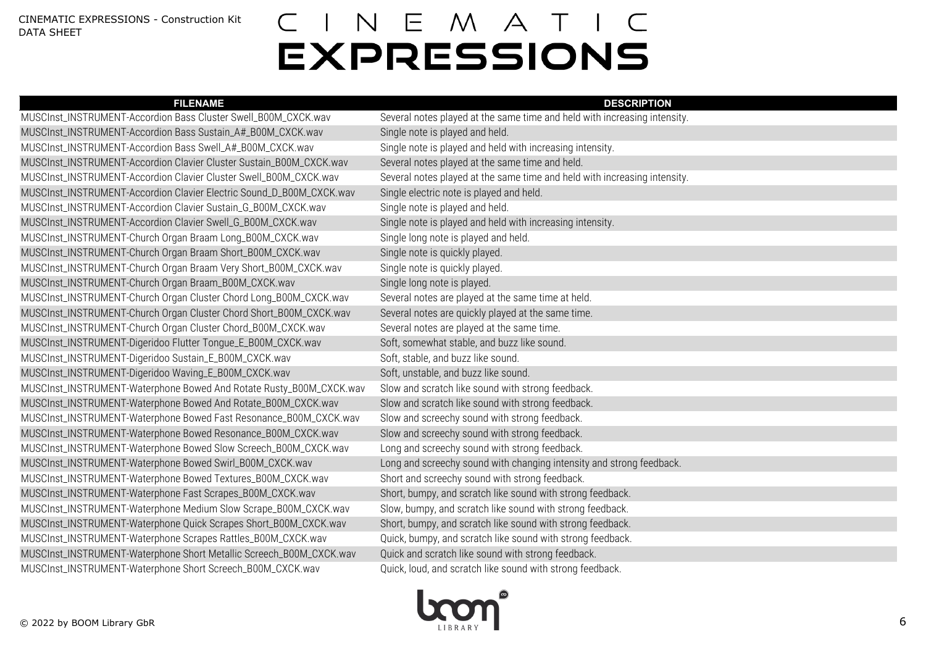| <b>FILENAME</b>                                                      | <b>DESCRIPTION</b>                                                        |
|----------------------------------------------------------------------|---------------------------------------------------------------------------|
| MUSCInst_INSTRUMENT-Accordion Bass Cluster Swell_B00M_CXCK.wav       | Several notes played at the same time and held with increasing intensity. |
| MUSCInst_INSTRUMENT-Accordion Bass Sustain_A#_B00M_CXCK.wav          | Single note is played and held.                                           |
| MUSCInst_INSTRUMENT-Accordion Bass Swell_A#_B00M_CXCK.wav            | Single note is played and held with increasing intensity.                 |
| MUSCInst_INSTRUMENT-Accordion Clavier Cluster Sustain_B00M_CXCK.wav  | Several notes played at the same time and held.                           |
| MUSCInst_INSTRUMENT-Accordion Clavier Cluster Swell_B00M_CXCK.wav    | Several notes played at the same time and held with increasing intensity. |
| MUSCInst_INSTRUMENT-Accordion Clavier Electric Sound_D_B00M_CXCK.wav | Single electric note is played and held.                                  |
| MUSCInst_INSTRUMENT-Accordion Clavier Sustain_G_B00M_CXCK.wav        | Single note is played and held.                                           |
| MUSCInst_INSTRUMENT-Accordion Clavier Swell_G_B00M_CXCK.wav          | Single note is played and held with increasing intensity.                 |
| MUSCInst_INSTRUMENT-Church Organ Braam Long_B00M_CXCK.wav            | Single long note is played and held.                                      |
| MUSCInst_INSTRUMENT-Church Organ Braam Short_B00M_CXCK.wav           | Single note is quickly played.                                            |
| MUSCInst_INSTRUMENT-Church Organ Braam Very Short_B00M_CXCK.wav      | Single note is quickly played.                                            |
| MUSCInst_INSTRUMENT-Church Organ Braam_B00M_CXCK.wav                 | Single long note is played.                                               |
| MUSCInst_INSTRUMENT-Church Organ Cluster Chord Long_B00M_CXCK.wav    | Several notes are played at the same time at held.                        |
| MUSCInst_INSTRUMENT-Church Organ Cluster Chord Short_B00M_CXCK.wav   | Several notes are quickly played at the same time.                        |
| MUSCInst_INSTRUMENT-Church Organ Cluster Chord_B00M_CXCK.wav         | Several notes are played at the same time.                                |
| MUSCInst_INSTRUMENT-Digeridoo Flutter Tongue_E_B00M_CXCK.wav         | Soft, somewhat stable, and buzz like sound.                               |
| MUSCInst_INSTRUMENT-Digeridoo Sustain_E_B00M_CXCK.wav                | Soft, stable, and buzz like sound.                                        |
| MUSCInst_INSTRUMENT-Digeridoo Waving_E_B00M_CXCK.wav                 | Soft, unstable, and buzz like sound.                                      |
| MUSCInst_INSTRUMENT-Waterphone Bowed And Rotate Rusty_B00M_CXCK.wav  | Slow and scratch like sound with strong feedback.                         |
| MUSCInst_INSTRUMENT-Waterphone Bowed And Rotate_B00M_CXCK.wav        | Slow and scratch like sound with strong feedback.                         |
| MUSCInst_INSTRUMENT-Waterphone Bowed Fast Resonance_B00M_CXCK.wav    | Slow and screechy sound with strong feedback.                             |
| MUSCInst_INSTRUMENT-Waterphone Bowed Resonance_B00M_CXCK.wav         | Slow and screechy sound with strong feedback.                             |
| MUSCInst_INSTRUMENT-Waterphone Bowed Slow Screech_B00M_CXCK.wav      | Long and screechy sound with strong feedback.                             |
| MUSCInst_INSTRUMENT-Waterphone Bowed Swirl_B00M_CXCK.wav             | Long and screechy sound with changing intensity and strong feedback.      |
| MUSCInst_INSTRUMENT-Waterphone Bowed Textures_B00M_CXCK.wav          | Short and screechy sound with strong feedback.                            |
| MUSCInst_INSTRUMENT-Waterphone Fast Scrapes_B00M_CXCK.wav            | Short, bumpy, and scratch like sound with strong feedback.                |
| MUSCInst_INSTRUMENT-Waterphone Medium Slow Scrape_B00M_CXCK.wav      | Slow, bumpy, and scratch like sound with strong feedback.                 |
| MUSCInst_INSTRUMENT-Waterphone Quick Scrapes Short_B00M_CXCK.wav     | Short, bumpy, and scratch like sound with strong feedback.                |
| MUSCInst_INSTRUMENT-Waterphone Scrapes Rattles_B00M_CXCK.wav         | Quick, bumpy, and scratch like sound with strong feedback.                |
| MUSCInst_INSTRUMENT-Waterphone Short Metallic Screech_B00M_CXCK.wav  | Quick and scratch like sound with strong feedback.                        |
| MUSCInst_INSTRUMENT-Waterphone Short Screech_B00M_CXCK.wav           | Quick, loud, and scratch like sound with strong feedback.                 |

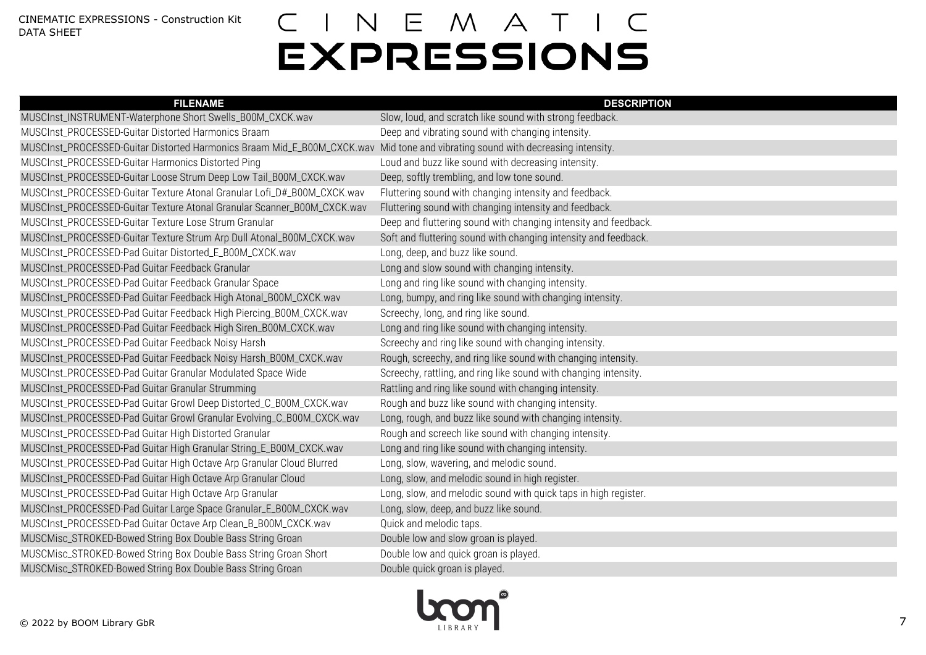| <b>FILENAME</b>                                                                                                                 | <b>DESCRIPTION</b>                                               |
|---------------------------------------------------------------------------------------------------------------------------------|------------------------------------------------------------------|
| MUSCInst_INSTRUMENT-Waterphone Short Swells_B00M_CXCK.wav                                                                       | Slow, loud, and scratch like sound with strong feedback.         |
| MUSCInst_PROCESSED-Guitar Distorted Harmonics Braam                                                                             | Deep and vibrating sound with changing intensity.                |
| MUSCInst_PROCESSED-Guitar Distorted Harmonics Braam Mid_E_B00M_CXCK.wav Mid tone and vibrating sound with decreasing intensity. |                                                                  |
| MUSCInst_PROCESSED-Guitar Harmonics Distorted Ping                                                                              | Loud and buzz like sound with decreasing intensity.              |
| MUSCInst_PROCESSED-Guitar Loose Strum Deep Low Tail_B00M_CXCK.wav                                                               | Deep, softly trembling, and low tone sound.                      |
| MUSCInst_PROCESSED-Guitar Texture Atonal Granular Lofi_D#_B00M_CXCK.wav                                                         | Fluttering sound with changing intensity and feedback.           |
| MUSCInst_PROCESSED-Guitar Texture Atonal Granular Scanner_B00M_CXCK.wav                                                         | Fluttering sound with changing intensity and feedback.           |
| MUSCInst_PROCESSED-Guitar Texture Lose Strum Granular                                                                           | Deep and fluttering sound with changing intensity and feedback.  |
| MUSCInst_PROCESSED-Guitar Texture Strum Arp Dull Atonal_B00M_CXCK.wav                                                           | Soft and fluttering sound with changing intensity and feedback.  |
| MUSCInst_PROCESSED-Pad Guitar Distorted_E_B00M_CXCK.wav                                                                         | Long, deep, and buzz like sound.                                 |
| MUSCInst_PROCESSED-Pad Guitar Feedback Granular                                                                                 | Long and slow sound with changing intensity.                     |
| MUSCInst_PROCESSED-Pad Guitar Feedback Granular Space                                                                           | Long and ring like sound with changing intensity.                |
| MUSCInst_PROCESSED-Pad Guitar Feedback High Atonal_B00M_CXCK.wav                                                                | Long, bumpy, and ring like sound with changing intensity.        |
| MUSCInst_PROCESSED-Pad Guitar Feedback High Piercing_B00M_CXCK.wav                                                              | Screechy, long, and ring like sound.                             |
| MUSCInst_PROCESSED-Pad Guitar Feedback High Siren_B00M_CXCK.wav                                                                 | Long and ring like sound with changing intensity.                |
| MUSCInst_PROCESSED-Pad Guitar Feedback Noisy Harsh                                                                              | Screechy and ring like sound with changing intensity.            |
| MUSCInst_PROCESSED-Pad Guitar Feedback Noisy Harsh_B00M_CXCK.wav                                                                | Rough, screechy, and ring like sound with changing intensity.    |
| MUSCInst_PROCESSED-Pad Guitar Granular Modulated Space Wide                                                                     | Screechy, rattling, and ring like sound with changing intensity. |
| MUSCInst_PROCESSED-Pad Guitar Granular Strumming                                                                                | Rattling and ring like sound with changing intensity.            |
| MUSCInst_PROCESSED-Pad Guitar Growl Deep Distorted_C_B00M_CXCK.wav                                                              | Rough and buzz like sound with changing intensity.               |
| MUSCInst_PROCESSED-Pad Guitar Growl Granular Evolving_C_B00M_CXCK.wav                                                           | Long, rough, and buzz like sound with changing intensity.        |
| MUSCInst_PROCESSED-Pad Guitar High Distorted Granular                                                                           | Rough and screech like sound with changing intensity.            |
| MUSCInst_PROCESSED-Pad Guitar High Granular String_E_B00M_CXCK.wav                                                              | Long and ring like sound with changing intensity.                |
| MUSCInst_PROCESSED-Pad Guitar High Octave Arp Granular Cloud Blurred                                                            | Long, slow, wavering, and melodic sound.                         |
| MUSCInst_PROCESSED-Pad Guitar High Octave Arp Granular Cloud                                                                    | Long, slow, and melodic sound in high register.                  |
| MUSCInst_PROCESSED-Pad Guitar High Octave Arp Granular                                                                          | Long, slow, and melodic sound with quick taps in high register.  |
| MUSCInst_PROCESSED-Pad Guitar Large Space Granular_E_B00M_CXCK.wav                                                              | Long, slow, deep, and buzz like sound.                           |
| MUSCInst_PROCESSED-Pad Guitar Octave Arp Clean_B_B00M_CXCK.wav                                                                  | Quick and melodic taps.                                          |
| MUSCMisc_STROKED-Bowed String Box Double Bass String Groan                                                                      | Double low and slow groan is played.                             |
| MUSCMisc_STROKED-Bowed String Box Double Bass String Groan Short                                                                | Double low and quick groan is played.                            |
| MUSCMisc_STROKED-Bowed String Box Double Bass String Groan                                                                      | Double quick groan is played.                                    |

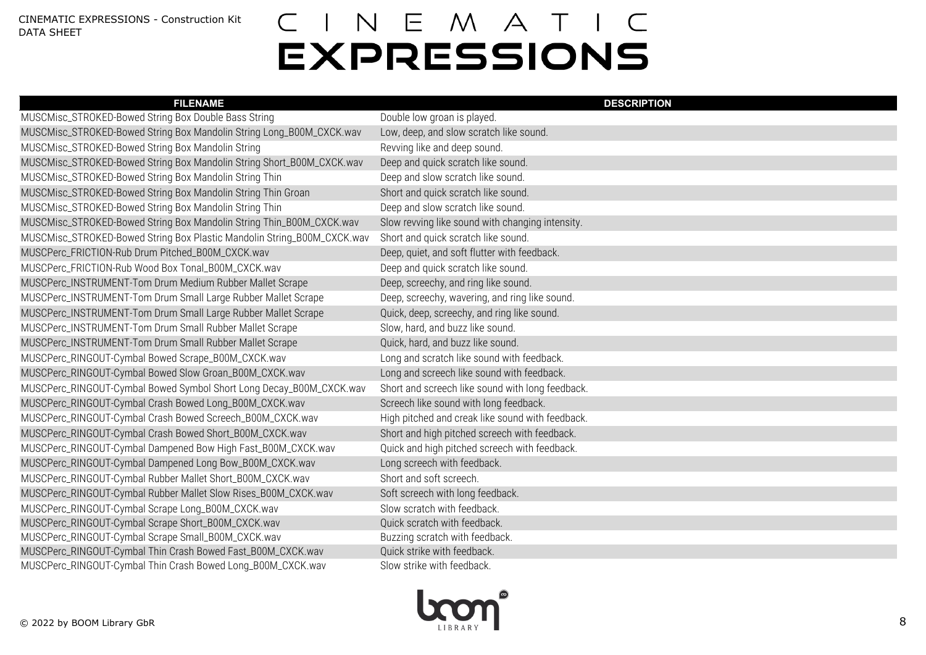| <b>FILENAME</b>                                                         | <b>DESCRIPTION</b>                               |
|-------------------------------------------------------------------------|--------------------------------------------------|
| MUSCMisc_STROKED-Bowed String Box Double Bass String                    | Double low groan is played.                      |
| MUSCMisc_STROKED-Bowed String Box Mandolin String Long_B00M_CXCK.wav    | Low, deep, and slow scratch like sound.          |
| MUSCMisc_STROKED-Bowed String Box Mandolin String                       | Revving like and deep sound.                     |
| MUSCMisc_STROKED-Bowed String Box Mandolin String Short_B00M_CXCK.wav   | Deep and quick scratch like sound.               |
| MUSCMisc_STROKED-Bowed String Box Mandolin String Thin                  | Deep and slow scratch like sound.                |
| MUSCMisc_STROKED-Bowed String Box Mandolin String Thin Groan            | Short and quick scratch like sound.              |
| MUSCMisc_STROKED-Bowed String Box Mandolin String Thin                  | Deep and slow scratch like sound.                |
| MUSCMisc_STROKED-Bowed String Box Mandolin String Thin_B00M_CXCK.wav    | Slow revving like sound with changing intensity. |
| MUSCMisc_STROKED-Bowed String Box Plastic Mandolin String_B00M_CXCK.wav | Short and quick scratch like sound.              |
| MUSCPerc_FRICTION-Rub Drum Pitched_B00M_CXCK.wav                        | Deep, quiet, and soft flutter with feedback.     |
| MUSCPerc_FRICTION-Rub Wood Box Tonal_B00M_CXCK.wav                      | Deep and quick scratch like sound.               |
| MUSCPerc_INSTRUMENT-Tom Drum Medium Rubber Mallet Scrape                | Deep, screechy, and ring like sound.             |
| MUSCPerc_INSTRUMENT-Tom Drum Small Large Rubber Mallet Scrape           | Deep, screechy, wavering, and ring like sound.   |
| MUSCPerc_INSTRUMENT-Tom Drum Small Large Rubber Mallet Scrape           | Quick, deep, screechy, and ring like sound.      |
| MUSCPerc_INSTRUMENT-Tom Drum Small Rubber Mallet Scrape                 | Slow, hard, and buzz like sound.                 |
| MUSCPerc_INSTRUMENT-Tom Drum Small Rubber Mallet Scrape                 | Quick, hard, and buzz like sound.                |
| MUSCPerc_RINGOUT-Cymbal Bowed Scrape_B00M_CXCK.wav                      | Long and scratch like sound with feedback.       |
| MUSCPerc_RINGOUT-Cymbal Bowed Slow Groan_B00M_CXCK.wav                  | Long and screech like sound with feedback.       |
| MUSCPerc_RINGOUT-Cymbal Bowed Symbol Short Long Decay_B00M_CXCK.wav     | Short and screech like sound with long feedback. |
| MUSCPerc_RINGOUT-Cymbal Crash Bowed Long_B00M_CXCK.wav                  | Screech like sound with long feedback.           |
| MUSCPerc_RINGOUT-Cymbal Crash Bowed Screech_B00M_CXCK.wav               | High pitched and creak like sound with feedback. |
| MUSCPerc_RINGOUT-Cymbal Crash Bowed Short_B00M_CXCK.wav                 | Short and high pitched screech with feedback.    |
| MUSCPerc_RINGOUT-Cymbal Dampened Bow High Fast_B00M_CXCK.wav            | Quick and high pitched screech with feedback.    |
| MUSCPerc_RINGOUT-Cymbal Dampened Long Bow_B00M_CXCK.wav                 | Long screech with feedback.                      |
| MUSCPerc_RINGOUT-Cymbal Rubber Mallet Short_B00M_CXCK.wav               | Short and soft screech.                          |
| MUSCPerc_RINGOUT-Cymbal Rubber Mallet Slow Rises_B00M_CXCK.wav          | Soft screech with long feedback.                 |
| MUSCPerc_RINGOUT-Cymbal Scrape Long_B00M_CXCK.wav                       | Slow scratch with feedback.                      |
| MUSCPerc_RINGOUT-Cymbal Scrape Short_B00M_CXCK.wav                      | Quick scratch with feedback.                     |
| MUSCPerc_RINGOUT-Cymbal Scrape Small_B00M_CXCK.wav                      | Buzzing scratch with feedback.                   |
| MUSCPerc_RINGOUT-Cymbal Thin Crash Bowed Fast_B00M_CXCK.wav             | Quick strike with feedback.                      |
| MUSCPerc_RINGOUT-Cymbal Thin Crash Bowed Long_B00M_CXCK.wav             | Slow strike with feedback.                       |

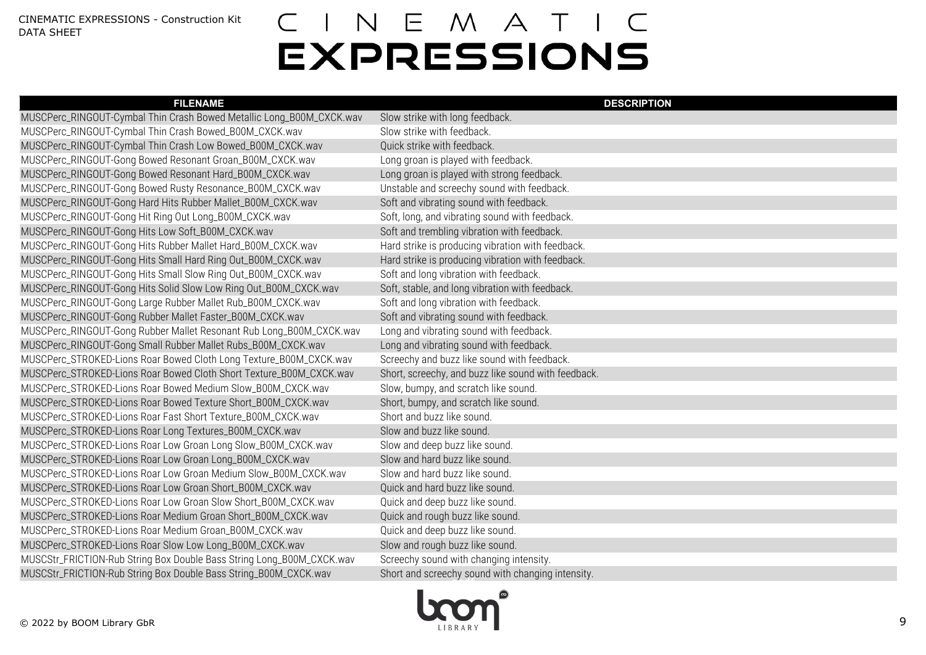| <b>FILENAME</b>                                                       | <b>DESCRIPTION</b>                                  |
|-----------------------------------------------------------------------|-----------------------------------------------------|
| MUSCPerc_RINGOUT-Cymbal Thin Crash Bowed Metallic Long_B00M_CXCK.wav  | Slow strike with long feedback.                     |
| MUSCPerc_RINGOUT-Cymbal Thin Crash Bowed_B00M_CXCK.wav                | Slow strike with feedback.                          |
| MUSCPerc_RINGOUT-Cymbal Thin Crash Low Bowed_B00M_CXCK.wav            | Quick strike with feedback.                         |
| MUSCPerc_RINGOUT-Gong Bowed Resonant Groan_B00M_CXCK.wav              | Long groan is played with feedback.                 |
| MUSCPerc_RINGOUT-Gong Bowed Resonant Hard_B00M_CXCK.wav               | Long groan is played with strong feedback.          |
| MUSCPerc_RINGOUT-Gong Bowed Rusty Resonance_B00M_CXCK.wav             | Unstable and screechy sound with feedback.          |
| MUSCPerc_RINGOUT-Gong Hard Hits Rubber Mallet_B00M_CXCK.wav           | Soft and vibrating sound with feedback.             |
| MUSCPerc_RINGOUT-Gong Hit Ring Out Long_B00M_CXCK.wav                 | Soft, long, and vibrating sound with feedback.      |
| MUSCPerc_RINGOUT-Gong Hits Low Soft_B00M_CXCK.wav                     | Soft and trembling vibration with feedback.         |
| MUSCPerc_RINGOUT-Gong Hits Rubber Mallet Hard_B00M_CXCK.wav           | Hard strike is producing vibration with feedback.   |
| MUSCPerc_RINGOUT-Gong Hits Small Hard Ring Out_B00M_CXCK.wav          | Hard strike is producing vibration with feedback.   |
| MUSCPerc_RINGOUT-Gong Hits Small Slow Ring Out_B00M_CXCK.wav          | Soft and long vibration with feedback.              |
| MUSCPerc_RINGOUT-Gong Hits Solid Slow Low Ring Out_B00M_CXCK.wav      | Soft, stable, and long vibration with feedback.     |
| MUSCPerc_RINGOUT-Gong Large Rubber Mallet Rub_B00M_CXCK.wav           | Soft and long vibration with feedback.              |
| MUSCPerc_RINGOUT-Gong Rubber Mallet Faster_B00M_CXCK.wav              | Soft and vibrating sound with feedback.             |
| MUSCPerc_RINGOUT-Gong Rubber Mallet Resonant Rub Long_B00M_CXCK.wav   | Long and vibrating sound with feedback.             |
| MUSCPerc_RINGOUT-Gong Small Rubber Mallet Rubs_B00M_CXCK.wav          | Long and vibrating sound with feedback.             |
| MUSCPerc_STROKED-Lions Roar Bowed Cloth Long Texture_B00M_CXCK.wav    | Screechy and buzz like sound with feedback.         |
| MUSCPerc_STROKED-Lions Roar Bowed Cloth Short Texture_B00M_CXCK.wav   | Short, screechy, and buzz like sound with feedback. |
| MUSCPerc_STROKED-Lions Roar Bowed Medium Slow_B00M_CXCK.wav           | Slow, bumpy, and scratch like sound.                |
| MUSCPerc_STROKED-Lions Roar Bowed Texture Short_B00M_CXCK.wav         | Short, bumpy, and scratch like sound.               |
| MUSCPerc_STROKED-Lions Roar Fast Short Texture_B00M_CXCK.wav          | Short and buzz like sound.                          |
| MUSCPerc_STROKED-Lions Roar Long Textures_B00M_CXCK.wav               | Slow and buzz like sound.                           |
| MUSCPerc_STROKED-Lions Roar Low Groan Long Slow_B00M_CXCK.wav         | Slow and deep buzz like sound.                      |
| MUSCPerc_STROKED-Lions Roar Low Groan Long_B00M_CXCK.wav              | Slow and hard buzz like sound.                      |
| MUSCPerc_STROKED-Lions Roar Low Groan Medium Slow_B00M_CXCK.wav       | Slow and hard buzz like sound.                      |
| MUSCPerc_STROKED-Lions Roar Low Groan Short_B00M_CXCK.wav             | Quick and hard buzz like sound.                     |
| MUSCPerc_STROKED-Lions Roar Low Groan Slow Short_B00M_CXCK.wav        | Quick and deep buzz like sound.                     |
| MUSCPerc_STROKED-Lions Roar Medium Groan Short_B00M_CXCK.wav          | Quick and rough buzz like sound.                    |
| MUSCPerc_STROKED-Lions Roar Medium Groan_B00M_CXCK.wav                | Quick and deep buzz like sound.                     |
| MUSCPerc_STROKED-Lions Roar Slow Low Long_B00M_CXCK.wav               | Slow and rough buzz like sound.                     |
| MUSCStr_FRICTION-Rub String Box Double Bass String Long_B00M_CXCK.wav | Screechy sound with changing intensity.             |
| MUSCStr_FRICTION-Rub String Box Double Bass String_B00M_CXCK.wav      | Short and screechy sound with changing intensity.   |

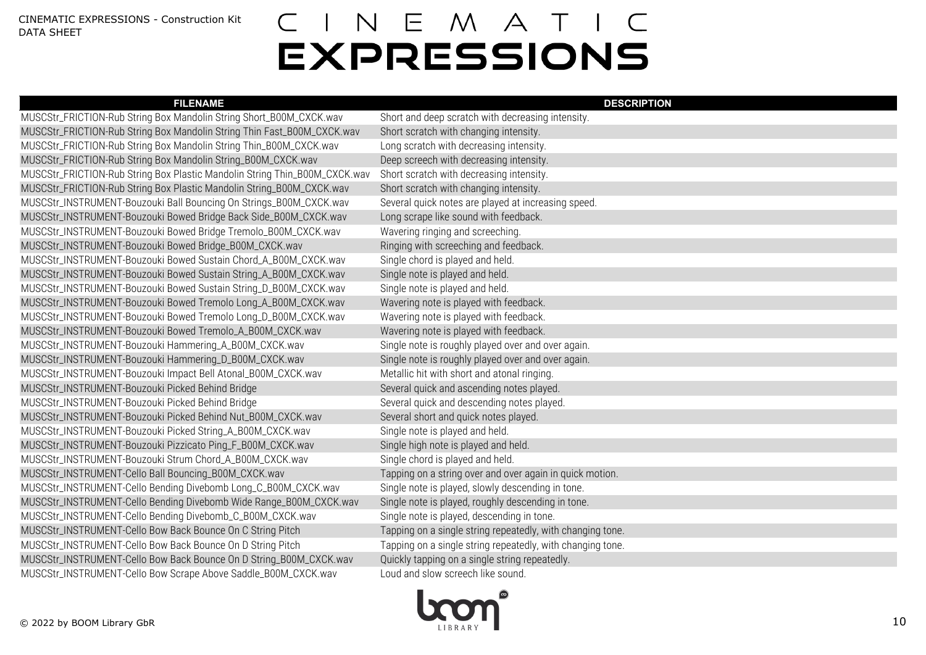| <b>FILENAME</b>                                                            | <b>DESCRIPTION</b>                                         |
|----------------------------------------------------------------------------|------------------------------------------------------------|
| MUSCStr_FRICTION-Rub String Box Mandolin String Short_B00M_CXCK.wav        | Short and deep scratch with decreasing intensity.          |
| MUSCStr_FRICTION-Rub String Box Mandolin String Thin Fast_B00M_CXCK.wav    | Short scratch with changing intensity.                     |
| MUSCStr_FRICTION-Rub String Box Mandolin String Thin_B00M_CXCK.wav         | Long scratch with decreasing intensity.                    |
| MUSCStr_FRICTION-Rub String Box Mandolin String_B00M_CXCK.wav              | Deep screech with decreasing intensity.                    |
| MUSCStr_FRICTION-Rub String Box Plastic Mandolin String Thin_B00M_CXCK.wav | Short scratch with decreasing intensity.                   |
| MUSCStr_FRICTION-Rub String Box Plastic Mandolin String_B00M_CXCK.wav      | Short scratch with changing intensity.                     |
| MUSCStr_INSTRUMENT-Bouzouki Ball Bouncing On Strings_B00M_CXCK.wav         | Several quick notes are played at increasing speed.        |
| MUSCStr_INSTRUMENT-Bouzouki Bowed Bridge Back Side_B00M_CXCK.wav           | Long scrape like sound with feedback.                      |
| MUSCStr_INSTRUMENT-Bouzouki Bowed Bridge Tremolo_B00M_CXCK.wav             | Wavering ringing and screeching.                           |
| MUSCStr_INSTRUMENT-Bouzouki Bowed Bridge_B00M_CXCK.wav                     | Ringing with screeching and feedback.                      |
| MUSCStr_INSTRUMENT-Bouzouki Bowed Sustain Chord_A_B00M_CXCK.wav            | Single chord is played and held.                           |
| MUSCStr_INSTRUMENT-Bouzouki Bowed Sustain String_A_B00M_CXCK.wav           | Single note is played and held.                            |
| MUSCStr_INSTRUMENT-Bouzouki Bowed Sustain String_D_B00M_CXCK.wav           | Single note is played and held.                            |
| MUSCStr_INSTRUMENT-Bouzouki Bowed Tremolo Long_A_B00M_CXCK.wav             | Wavering note is played with feedback.                     |
| MUSCStr_INSTRUMENT-Bouzouki Bowed Tremolo Long_D_B00M_CXCK.wav             | Wavering note is played with feedback.                     |
| MUSCStr_INSTRUMENT-Bouzouki Bowed Tremolo_A_B00M_CXCK.wav                  | Wavering note is played with feedback.                     |
| MUSCStr_INSTRUMENT-Bouzouki Hammering_A_B00M_CXCK.wav                      | Single note is roughly played over and over again.         |
| MUSCStr_INSTRUMENT-Bouzouki Hammering_D_B00M_CXCK.wav                      | Single note is roughly played over and over again.         |
| MUSCStr_INSTRUMENT-Bouzouki Impact Bell Atonal_B00M_CXCK.wav               | Metallic hit with short and atonal ringing.                |
| MUSCStr_INSTRUMENT-Bouzouki Picked Behind Bridge                           | Several quick and ascending notes played.                  |
| MUSCStr_INSTRUMENT-Bouzouki Picked Behind Bridge                           | Several quick and descending notes played.                 |
| MUSCStr_INSTRUMENT-Bouzouki Picked Behind Nut_B00M_CXCK.wav                | Several short and quick notes played.                      |
| MUSCStr_INSTRUMENT-Bouzouki Picked String_A_B00M_CXCK.wav                  | Single note is played and held.                            |
| MUSCStr_INSTRUMENT-Bouzouki Pizzicato Ping_F_B00M_CXCK.wav                 | Single high note is played and held.                       |
| MUSCStr_INSTRUMENT-Bouzouki Strum Chord_A_B00M_CXCK.wav                    | Single chord is played and held.                           |
| MUSCStr_INSTRUMENT-Cello Ball Bouncing_B00M_CXCK.wav                       | Tapping on a string over and over again in quick motion.   |
| MUSCStr_INSTRUMENT-Cello Bending Divebomb Long_C_B00M_CXCK.wav             | Single note is played, slowly descending in tone.          |
| MUSCStr_INSTRUMENT-Cello Bending Divebomb Wide Range_B00M_CXCK.wav         | Single note is played, roughly descending in tone.         |
| MUSCStr_INSTRUMENT-Cello Bending Divebomb_C_B00M_CXCK.wav                  | Single note is played, descending in tone.                 |
| MUSCStr_INSTRUMENT-Cello Bow Back Bounce On C String Pitch                 | Tapping on a single string repeatedly, with changing tone. |
| MUSCStr_INSTRUMENT-Cello Bow Back Bounce On D String Pitch                 | Tapping on a single string repeatedly, with changing tone. |
| MUSCStr_INSTRUMENT-Cello Bow Back Bounce On D String_B00M_CXCK.wav         | Quickly tapping on a single string repeatedly.             |
| MUSCStr_INSTRUMENT-Cello Bow Scrape Above Saddle_B00M_CXCK.wav             | Loud and slow screech like sound.                          |
|                                                                            |                                                            |

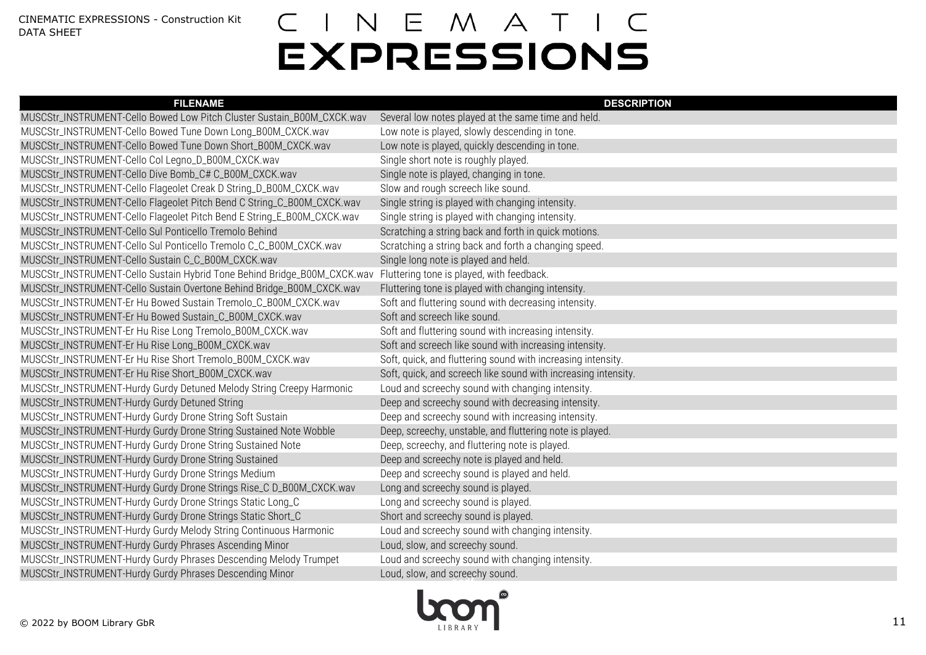| <b>FILENAME</b>                                                                                                    | <b>DESCRIPTION</b>                                             |
|--------------------------------------------------------------------------------------------------------------------|----------------------------------------------------------------|
| MUSCStr_INSTRUMENT-Cello Bowed Low Pitch Cluster Sustain_B00M_CXCK.wav                                             | Several low notes played at the same time and held.            |
| MUSCStr_INSTRUMENT-Cello Bowed Tune Down Long_B00M_CXCK.wav                                                        | Low note is played, slowly descending in tone.                 |
| MUSCStr_INSTRUMENT-Cello Bowed Tune Down Short_B00M_CXCK.wav                                                       | Low note is played, quickly descending in tone.                |
| MUSCStr_INSTRUMENT-Cello Col Legno_D_B00M_CXCK.wav                                                                 | Single short note is roughly played.                           |
| MUSCStr_INSTRUMENT-Cello Dive Bomb_C# C_B00M_CXCK.wav                                                              | Single note is played, changing in tone.                       |
| MUSCStr_INSTRUMENT-Cello Flageolet Creak D String_D_B00M_CXCK.wav                                                  | Slow and rough screech like sound.                             |
| MUSCStr_INSTRUMENT-Cello Flageolet Pitch Bend C String_C_B00M_CXCK.wav                                             | Single string is played with changing intensity.               |
| MUSCStr_INSTRUMENT-Cello Flageolet Pitch Bend E String_E_B00M_CXCK.wav                                             | Single string is played with changing intensity.               |
| MUSCStr_INSTRUMENT-Cello Sul Ponticello Tremolo Behind                                                             | Scratching a string back and forth in quick motions.           |
| MUSCStr_INSTRUMENT-Cello Sul Ponticello Tremolo C_C_B00M_CXCK.wav                                                  | Scratching a string back and forth a changing speed.           |
| MUSCStr_INSTRUMENT-Cello Sustain C_C_B00M_CXCK.wav                                                                 | Single long note is played and held.                           |
| MUSCStr_INSTRUMENT-Cello Sustain Hybrid Tone Behind Bridge_B00M_CXCK.wav Fluttering tone is played, with feedback. |                                                                |
| MUSCStr_INSTRUMENT-Cello Sustain Overtone Behind Bridge_B00M_CXCK.wav                                              | Fluttering tone is played with changing intensity.             |
| MUSCStr_INSTRUMENT-Er Hu Bowed Sustain Tremolo_C_B00M_CXCK.wav                                                     | Soft and fluttering sound with decreasing intensity.           |
| MUSCStr_INSTRUMENT-Er Hu Bowed Sustain_C_B00M_CXCK.wav                                                             | Soft and screech like sound.                                   |
| MUSCStr_INSTRUMENT-Er Hu Rise Long Tremolo_B00M_CXCK.wav                                                           | Soft and fluttering sound with increasing intensity.           |
| MUSCStr_INSTRUMENT-Er Hu Rise Long_B00M_CXCK.wav                                                                   | Soft and screech like sound with increasing intensity.         |
| MUSCStr_INSTRUMENT-Er Hu Rise Short Tremolo_B00M_CXCK.wav                                                          | Soft, quick, and fluttering sound with increasing intensity.   |
| MUSCStr_INSTRUMENT-Er Hu Rise Short_B00M_CXCK.wav                                                                  | Soft, quick, and screech like sound with increasing intensity. |
| MUSCStr_INSTRUMENT-Hurdy Gurdy Detuned Melody String Creepy Harmonic                                               | Loud and screechy sound with changing intensity.               |
| MUSCStr_INSTRUMENT-Hurdy Gurdy Detuned String                                                                      | Deep and screechy sound with decreasing intensity.             |
| MUSCStr_INSTRUMENT-Hurdy Gurdy Drone String Soft Sustain                                                           | Deep and screechy sound with increasing intensity.             |
| MUSCStr_INSTRUMENT-Hurdy Gurdy Drone String Sustained Note Wobble                                                  | Deep, screechy, unstable, and fluttering note is played.       |
| MUSCStr_INSTRUMENT-Hurdy Gurdy Drone String Sustained Note                                                         | Deep, screechy, and fluttering note is played.                 |
| MUSCStr_INSTRUMENT-Hurdy Gurdy Drone String Sustained                                                              | Deep and screechy note is played and held.                     |
| MUSCStr_INSTRUMENT-Hurdy Gurdy Drone Strings Medium                                                                | Deep and screechy sound is played and held.                    |
| MUSCStr_INSTRUMENT-Hurdy Gurdy Drone Strings Rise_C D_B00M_CXCK.wav                                                | Long and screechy sound is played.                             |
| MUSCStr_INSTRUMENT-Hurdy Gurdy Drone Strings Static Long_C                                                         | Long and screechy sound is played.                             |
| MUSCStr_INSTRUMENT-Hurdy Gurdy Drone Strings Static Short_C                                                        | Short and screechy sound is played.                            |
| MUSCStr_INSTRUMENT-Hurdy Gurdy Melody String Continuous Harmonic                                                   | Loud and screechy sound with changing intensity.               |
| MUSCStr_INSTRUMENT-Hurdy Gurdy Phrases Ascending Minor                                                             | Loud, slow, and screechy sound.                                |
| MUSCStr_INSTRUMENT-Hurdy Gurdy Phrases Descending Melody Trumpet                                                   | Loud and screechy sound with changing intensity.               |
| MUSCStr_INSTRUMENT-Hurdy Gurdy Phrases Descending Minor                                                            | Loud, slow, and screechy sound.                                |
|                                                                                                                    |                                                                |

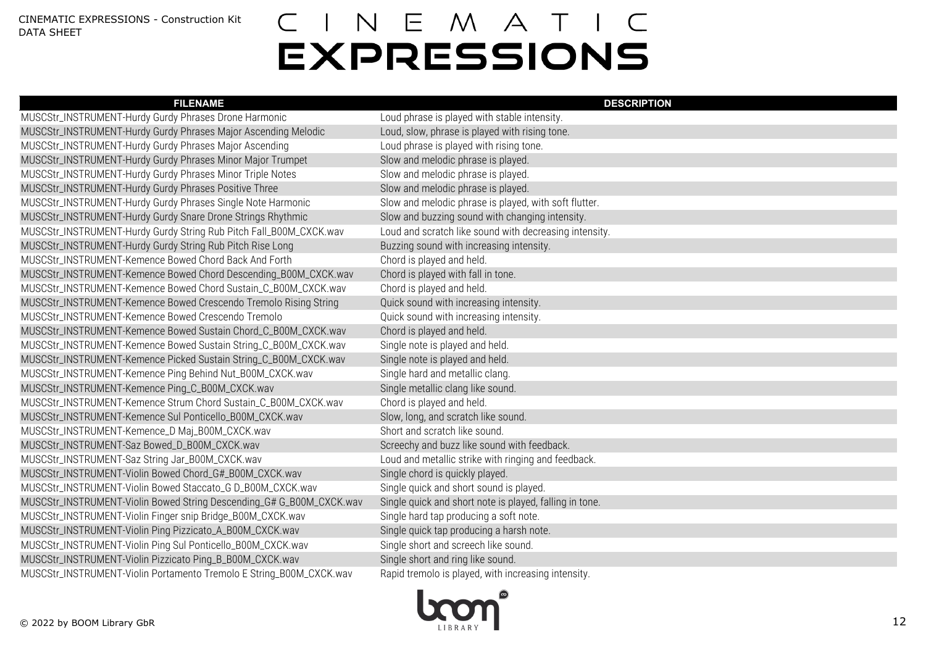| <b>FILENAME</b>                                                      | <b>DESCRIPTION</b>                                      |
|----------------------------------------------------------------------|---------------------------------------------------------|
| MUSCStr_INSTRUMENT-Hurdy Gurdy Phrases Drone Harmonic                | Loud phrase is played with stable intensity.            |
| MUSCStr_INSTRUMENT-Hurdy Gurdy Phrases Major Ascending Melodic       | Loud, slow, phrase is played with rising tone.          |
| MUSCStr_INSTRUMENT-Hurdy Gurdy Phrases Major Ascending               | Loud phrase is played with rising tone.                 |
| MUSCStr_INSTRUMENT-Hurdy Gurdy Phrases Minor Major Trumpet           | Slow and melodic phrase is played.                      |
| MUSCStr_INSTRUMENT-Hurdy Gurdy Phrases Minor Triple Notes            | Slow and melodic phrase is played.                      |
| MUSCStr_INSTRUMENT-Hurdy Gurdy Phrases Positive Three                | Slow and melodic phrase is played.                      |
| MUSCStr_INSTRUMENT-Hurdy Gurdy Phrases Single Note Harmonic          | Slow and melodic phrase is played, with soft flutter.   |
| MUSCStr_INSTRUMENT-Hurdy Gurdy Snare Drone Strings Rhythmic          | Slow and buzzing sound with changing intensity.         |
| MUSCStr_INSTRUMENT-Hurdy Gurdy String Rub Pitch Fall_B00M_CXCK.wav   | Loud and scratch like sound with decreasing intensity.  |
| MUSCStr_INSTRUMENT-Hurdy Gurdy String Rub Pitch Rise Long            | Buzzing sound with increasing intensity.                |
| MUSCStr_INSTRUMENT-Kemence Bowed Chord Back And Forth                | Chord is played and held.                               |
| MUSCStr_INSTRUMENT-Kemence Bowed Chord Descending_B00M_CXCK.wav      | Chord is played with fall in tone.                      |
| MUSCStr_INSTRUMENT-Kemence Bowed Chord Sustain_C_B00M_CXCK.wav       | Chord is played and held.                               |
| MUSCStr_INSTRUMENT-Kemence Bowed Crescendo Tremolo Rising String     | Quick sound with increasing intensity.                  |
| MUSCStr_INSTRUMENT-Kemence Bowed Crescendo Tremolo                   | Quick sound with increasing intensity.                  |
| MUSCStr_INSTRUMENT-Kemence Bowed Sustain Chord_C_B00M_CXCK.wav       | Chord is played and held.                               |
| MUSCStr_INSTRUMENT-Kemence Bowed Sustain String_C_B00M_CXCK.wav      | Single note is played and held.                         |
| MUSCStr_INSTRUMENT-Kemence Picked Sustain String_C_B00M_CXCK.wav     | Single note is played and held.                         |
| MUSCStr_INSTRUMENT-Kemence Ping Behind Nut_B00M_CXCK.wav             | Single hard and metallic clang.                         |
| MUSCStr_INSTRUMENT-Kemence Ping_C_B00M_CXCK.wav                      | Single metallic clang like sound.                       |
| MUSCStr_INSTRUMENT-Kemence Strum Chord Sustain_C_B00M_CXCK.wav       | Chord is played and held.                               |
| MUSCStr_INSTRUMENT-Kemence Sul Ponticello_B00M_CXCK.wav              | Slow, long, and scratch like sound.                     |
| MUSCStr_INSTRUMENT-Kemence_D Maj_B00M_CXCK.wav                       | Short and scratch like sound.                           |
| MUSCStr_INSTRUMENT-Saz Bowed_D_B00M_CXCK.wav                         | Screechy and buzz like sound with feedback.             |
| MUSCStr_INSTRUMENT-Saz String Jar_B00M_CXCK.wav                      | Loud and metallic strike with ringing and feedback.     |
| MUSCStr_INSTRUMENT-Violin Bowed Chord_G#_B00M_CXCK.wav               | Single chord is quickly played.                         |
| MUSCStr_INSTRUMENT-Violin Bowed Staccato_G D_B00M_CXCK.wav           | Single quick and short sound is played.                 |
| MUSCStr_INSTRUMENT-Violin Bowed String Descending_G# G_B00M_CXCK.wav | Single quick and short note is played, falling in tone. |
| MUSCStr_INSTRUMENT-Violin Finger snip Bridge_B00M_CXCK.wav           | Single hard tap producing a soft note.                  |
| MUSCStr_INSTRUMENT-Violin Ping Pizzicato_A_B00M_CXCK.wav             | Single quick tap producing a harsh note.                |
| MUSCStr_INSTRUMENT-Violin Ping Sul Ponticello_B00M_CXCK.wav          | Single short and screech like sound.                    |
| MUSCStr_INSTRUMENT-Violin Pizzicato Ping_B_B00M_CXCK.wav             | Single short and ring like sound.                       |
| MUSCStr_INSTRUMENT-Violin Portamento Tremolo E String_B00M_CXCK.wav  | Rapid tremolo is played, with increasing intensity.     |

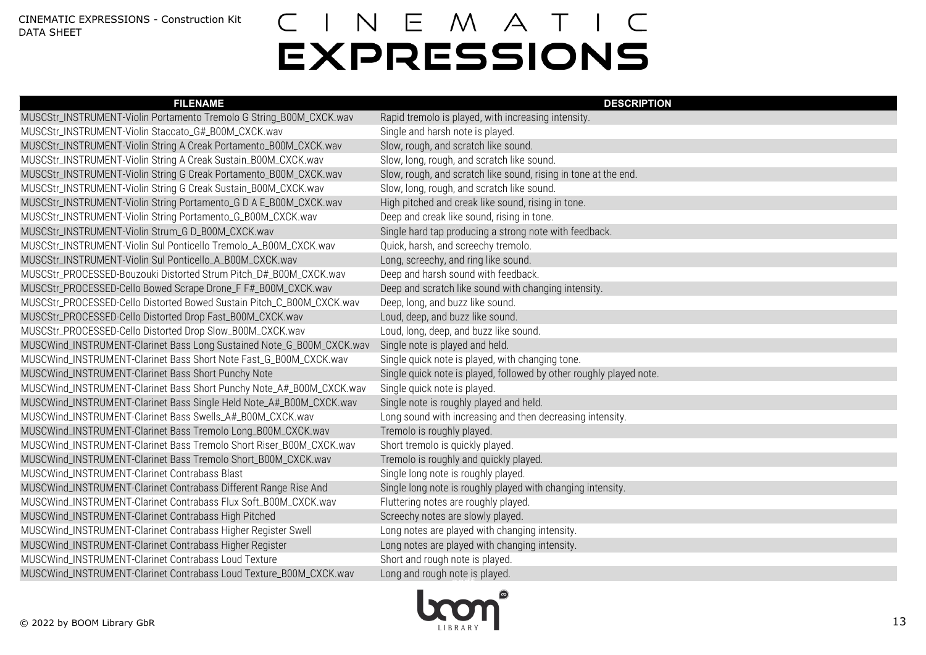| <b>FILENAME</b>                                                       | <b>DESCRIPTION</b>                                                  |
|-----------------------------------------------------------------------|---------------------------------------------------------------------|
| MUSCStr_INSTRUMENT-Violin Portamento Tremolo G String_B00M_CXCK.wav   | Rapid tremolo is played, with increasing intensity.                 |
| MUSCStr_INSTRUMENT-Violin Staccato_G#_B00M_CXCK.wav                   | Single and harsh note is played.                                    |
| MUSCStr_INSTRUMENT-Violin String A Creak Portamento_B00M_CXCK.wav     | Slow, rough, and scratch like sound.                                |
| MUSCStr_INSTRUMENT-Violin String A Creak Sustain_B00M_CXCK.wav        | Slow, long, rough, and scratch like sound.                          |
| MUSCStr_INSTRUMENT-Violin String G Creak Portamento_B00M_CXCK.wav     | Slow, rough, and scratch like sound, rising in tone at the end.     |
| MUSCStr_INSTRUMENT-Violin String G Creak Sustain_B00M_CXCK.wav        | Slow, long, rough, and scratch like sound.                          |
| MUSCStr_INSTRUMENT-Violin String Portamento_G D A E_B00M_CXCK.wav     | High pitched and creak like sound, rising in tone.                  |
| MUSCStr_INSTRUMENT-Violin String Portamento_G_B00M_CXCK.wav           | Deep and creak like sound, rising in tone.                          |
| MUSCStr_INSTRUMENT-Violin Strum_G D_B00M_CXCK.wav                     | Single hard tap producing a strong note with feedback.              |
| MUSCStr_INSTRUMENT-Violin Sul Ponticello Tremolo_A_B00M_CXCK.wav      | Quick, harsh, and screechy tremolo.                                 |
| MUSCStr_INSTRUMENT-Violin Sul Ponticello_A_B00M_CXCK.wav              | Long, screechy, and ring like sound.                                |
| MUSCStr_PROCESSED-Bouzouki Distorted Strum Pitch_D#_B00M_CXCK.wav     | Deep and harsh sound with feedback.                                 |
| MUSCStr_PROCESSED-Cello Bowed Scrape Drone_F F#_B00M_CXCK.wav         | Deep and scratch like sound with changing intensity.                |
| MUSCStr_PROCESSED-Cello Distorted Bowed Sustain Pitch_C_B00M_CXCK.wav | Deep, long, and buzz like sound.                                    |
| MUSCStr_PROCESSED-Cello Distorted Drop Fast_B00M_CXCK.wav             | Loud, deep, and buzz like sound.                                    |
| MUSCStr_PROCESSED-Cello Distorted Drop Slow_B00M_CXCK.wav             | Loud, long, deep, and buzz like sound.                              |
| MUSCWind_INSTRUMENT-Clarinet Bass Long Sustained Note_G_B00M_CXCK.wav | Single note is played and held.                                     |
| MUSCWind_INSTRUMENT-Clarinet Bass Short Note Fast_G_B00M_CXCK.wav     | Single quick note is played, with changing tone.                    |
| MUSCWind_INSTRUMENT-Clarinet Bass Short Punchy Note                   | Single quick note is played, followed by other roughly played note. |
| MUSCWind_INSTRUMENT-Clarinet Bass Short Punchy Note_A#_B00M_CXCK.wav  | Single quick note is played.                                        |
| MUSCWind_INSTRUMENT-Clarinet Bass Single Held Note_A#_B00M_CXCK.wav   | Single note is roughly played and held.                             |
| MUSCWind_INSTRUMENT-Clarinet Bass Swells_A#_B00M_CXCK.wav             | Long sound with increasing and then decreasing intensity.           |
| MUSCWind_INSTRUMENT-Clarinet Bass Tremolo Long_B00M_CXCK.wav          | Tremolo is roughly played.                                          |
| MUSCWind_INSTRUMENT-Clarinet Bass Tremolo Short Riser_B00M_CXCK.wav   | Short tremolo is quickly played.                                    |
| MUSCWind_INSTRUMENT-Clarinet Bass Tremolo Short_B00M_CXCK.wav         | Tremolo is roughly and quickly played.                              |
| MUSCWind_INSTRUMENT-Clarinet Contrabass Blast                         | Single long note is roughly played.                                 |
| MUSCWind_INSTRUMENT-Clarinet Contrabass Different Range Rise And      | Single long note is roughly played with changing intensity.         |
| MUSCWind_INSTRUMENT-Clarinet Contrabass Flux Soft_B00M_CXCK.wav       | Fluttering notes are roughly played.                                |
| MUSCWind_INSTRUMENT-Clarinet Contrabass High Pitched                  | Screechy notes are slowly played.                                   |
| MUSCWind_INSTRUMENT-Clarinet Contrabass Higher Register Swell         | Long notes are played with changing intensity.                      |
| MUSCWind_INSTRUMENT-Clarinet Contrabass Higher Register               | Long notes are played with changing intensity.                      |
| MUSCWind_INSTRUMENT-Clarinet Contrabass Loud Texture                  | Short and rough note is played.                                     |
| MUSCWind_INSTRUMENT-Clarinet Contrabass Loud Texture_B00M_CXCK.wav    | Long and rough note is played.                                      |

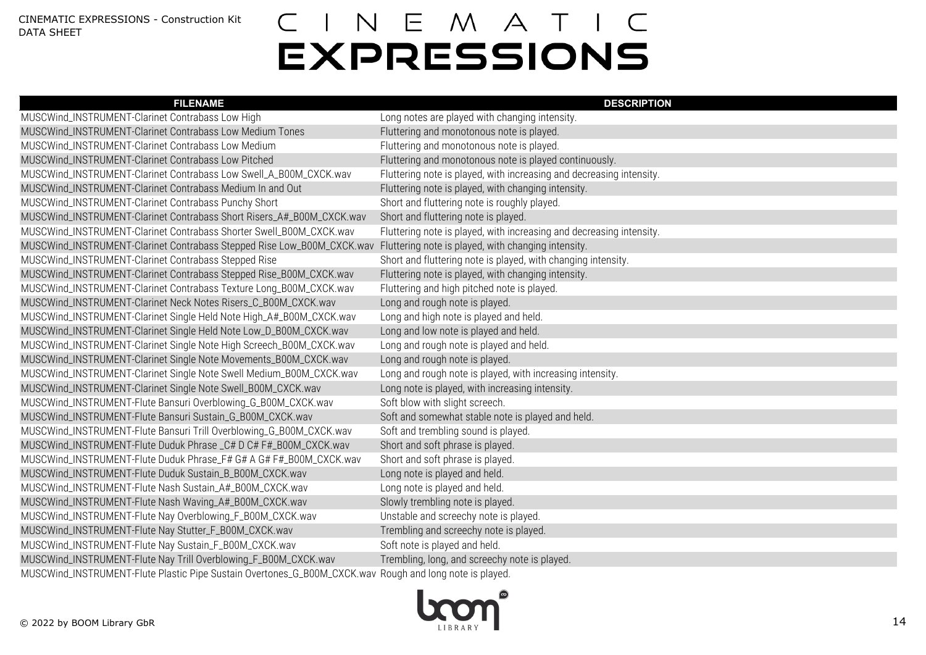| <b>FILENAME</b>                                                                                                            | <b>DESCRIPTION</b>                                                   |
|----------------------------------------------------------------------------------------------------------------------------|----------------------------------------------------------------------|
| MUSCWind_INSTRUMENT-Clarinet Contrabass Low High                                                                           | Long notes are played with changing intensity.                       |
| MUSCWind_INSTRUMENT-Clarinet Contrabass Low Medium Tones                                                                   | Fluttering and monotonous note is played.                            |
| MUSCWind_INSTRUMENT-Clarinet Contrabass Low Medium                                                                         | Fluttering and monotonous note is played.                            |
| MUSCWind_INSTRUMENT-Clarinet Contrabass Low Pitched                                                                        | Fluttering and monotonous note is played continuously.               |
| MUSCWind_INSTRUMENT-Clarinet Contrabass Low Swell_A_B00M_CXCK.wav                                                          | Fluttering note is played, with increasing and decreasing intensity. |
| MUSCWind_INSTRUMENT-Clarinet Contrabass Medium In and Out                                                                  | Fluttering note is played, with changing intensity.                  |
| MUSCWind_INSTRUMENT-Clarinet Contrabass Punchy Short                                                                       | Short and fluttering note is roughly played.                         |
| MUSCWind_INSTRUMENT-Clarinet Contrabass Short Risers_A#_B00M_CXCK.wav                                                      | Short and fluttering note is played.                                 |
| MUSCWind_INSTRUMENT-Clarinet Contrabass Shorter Swell_B00M_CXCK.wav                                                        | Fluttering note is played, with increasing and decreasing intensity. |
| MUSCWind_INSTRUMENT-Clarinet Contrabass Stepped Rise Low_B00M_CXCK.wav Fluttering note is played, with changing intensity. |                                                                      |
| MUSCWind_INSTRUMENT-Clarinet Contrabass Stepped Rise                                                                       | Short and fluttering note is played, with changing intensity.        |
| MUSCWind_INSTRUMENT-Clarinet Contrabass Stepped Rise_B00M_CXCK.wav                                                         | Fluttering note is played, with changing intensity.                  |
| MUSCWind_INSTRUMENT-Clarinet Contrabass Texture Long_B00M_CXCK.wav                                                         | Fluttering and high pitched note is played.                          |
| MUSCWind_INSTRUMENT-Clarinet Neck Notes Risers_C_B00M_CXCK.wav                                                             | Long and rough note is played.                                       |
| MUSCWind_INSTRUMENT-Clarinet Single Held Note High_A#_B00M_CXCK.wav                                                        | Long and high note is played and held.                               |
| MUSCWind_INSTRUMENT-Clarinet Single Held Note Low_D_B00M_CXCK.wav                                                          | Long and low note is played and held.                                |
| MUSCWind_INSTRUMENT-Clarinet Single Note High Screech_B00M_CXCK.wav                                                        | Long and rough note is played and held.                              |
| MUSCWind_INSTRUMENT-Clarinet Single Note Movements_B00M_CXCK.wav                                                           | Long and rough note is played.                                       |
| MUSCWind_INSTRUMENT-Clarinet Single Note Swell Medium_B00M_CXCK.wav                                                        | Long and rough note is played, with increasing intensity.            |
| MUSCWind_INSTRUMENT-Clarinet Single Note Swell_B00M_CXCK.wav                                                               | Long note is played, with increasing intensity.                      |
| MUSCWind_INSTRUMENT-Flute Bansuri Overblowing_G_B00M_CXCK.wav                                                              | Soft blow with slight screech.                                       |
| MUSCWind_INSTRUMENT-Flute Bansuri Sustain_G_B00M_CXCK.wav                                                                  | Soft and somewhat stable note is played and held.                    |
| MUSCWind_INSTRUMENT-Flute Bansuri Trill Overblowing_G_B00M_CXCK.wav                                                        | Soft and trembling sound is played.                                  |
| MUSCWind_INSTRUMENT-Flute Duduk Phrase_C# D C# F#_B00M_CXCK.wav                                                            | Short and soft phrase is played.                                     |
| MUSCWind_INSTRUMENT-Flute Duduk Phrase_F# G# A G# F#_B00M_CXCK.wav                                                         | Short and soft phrase is played.                                     |
| MUSCWind_INSTRUMENT-Flute Duduk Sustain_B_B00M_CXCK.wav                                                                    | Long note is played and held.                                        |
| MUSCWind_INSTRUMENT-Flute Nash Sustain_A#_B00M_CXCK.wav                                                                    | Long note is played and held.                                        |
| MUSCWind_INSTRUMENT-Flute Nash Waving_A#_B00M_CXCK.wav                                                                     | Slowly trembling note is played.                                     |
| MUSCWind_INSTRUMENT-Flute Nay Overblowing_F_B00M_CXCK.wav                                                                  | Unstable and screechy note is played.                                |
| MUSCWind_INSTRUMENT-Flute Nay Stutter_F_B00M_CXCK.wav                                                                      | Trembling and screechy note is played.                               |
| MUSCWind_INSTRUMENT-Flute Nay Sustain_F_B00M_CXCK.wav                                                                      | Soft note is played and held.                                        |
| MUSCWind_INSTRUMENT-Flute Nay Trill Overblowing_F_B00M_CXCK.wav                                                            | Trembling, long, and screechy note is played.                        |
| MUSCWind_INSTRUMENT-Flute Plastic Pipe Sustain Overtones_G_B00M_CXCK.wav Rough and long note is played.                    |                                                                      |

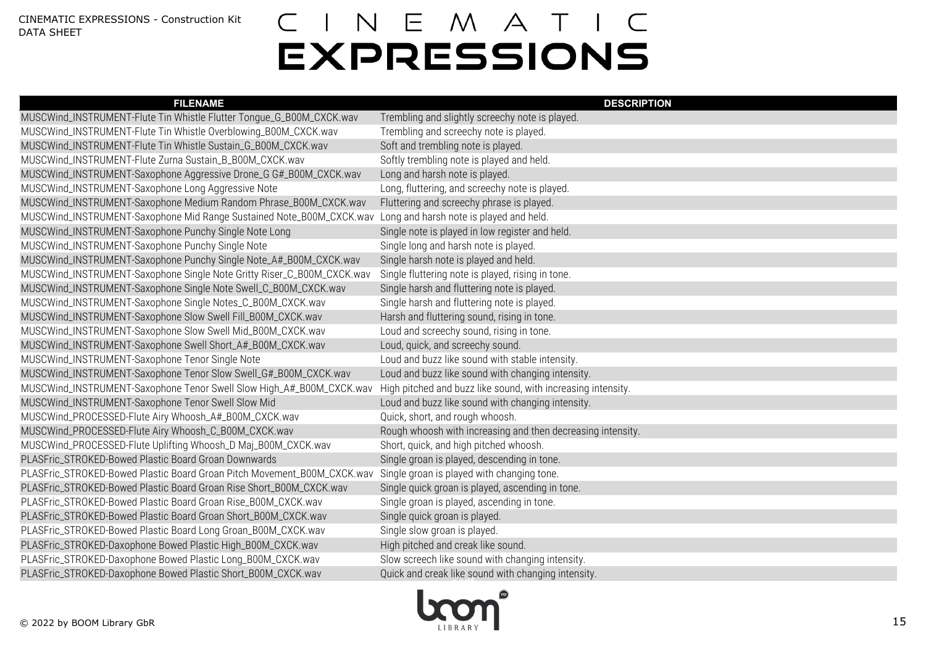| <b>FILENAME</b>                                                         | <b>DESCRIPTION</b>                                           |
|-------------------------------------------------------------------------|--------------------------------------------------------------|
| MUSCWind_INSTRUMENT-Flute Tin Whistle Flutter Tongue_G_B00M_CXCK.wav    | Trembling and slightly screechy note is played.              |
| MUSCWind_INSTRUMENT-Flute Tin Whistle Overblowing_B00M_CXCK.wav         | Trembling and screechy note is played.                       |
| MUSCWind_INSTRUMENT-Flute Tin Whistle Sustain_G_B00M_CXCK.wav           | Soft and trembling note is played.                           |
| MUSCWind_INSTRUMENT-Flute Zurna Sustain_B_B00M_CXCK.wav                 | Softly trembling note is played and held.                    |
| MUSCWind_INSTRUMENT-Saxophone Aggressive Drone_G G#_B00M_CXCK.wav       | Long and harsh note is played.                               |
| MUSCWind_INSTRUMENT-Saxophone Long Aggressive Note                      | Long, fluttering, and screechy note is played.               |
| MUSCWind_INSTRUMENT-Saxophone Medium Random Phrase_B00M_CXCK.wav        | Fluttering and screechy phrase is played.                    |
| MUSCWind_INSTRUMENT-Saxophone Mid Range Sustained Note_B00M_CXCK.wav    | Long and harsh note is played and held.                      |
| MUSCWind_INSTRUMENT-Saxophone Punchy Single Note Long                   | Single note is played in low register and held.              |
| MUSCWind_INSTRUMENT-Saxophone Punchy Single Note                        | Single long and harsh note is played.                        |
| MUSCWind_INSTRUMENT-Saxophone Punchy Single Note_A#_B00M_CXCK.wav       | Single harsh note is played and held.                        |
| MUSCWind_INSTRUMENT-Saxophone Single Note Gritty Riser_C_B00M_CXCK.wav  | Single fluttering note is played, rising in tone.            |
| MUSCWind_INSTRUMENT-Saxophone Single Note Swell_C_B00M_CXCK.wav         | Single harsh and fluttering note is played.                  |
| MUSCWind_INSTRUMENT-Saxophone Single Notes_C_B00M_CXCK.wav              | Single harsh and fluttering note is played.                  |
| MUSCWind_INSTRUMENT-Saxophone Slow Swell Fill_B00M_CXCK.wav             | Harsh and fluttering sound, rising in tone.                  |
| MUSCWind_INSTRUMENT-Saxophone Slow Swell Mid_B00M_CXCK.wav              | Loud and screechy sound, rising in tone.                     |
| MUSCWind_INSTRUMENT-Saxophone Swell Short_A#_B00M_CXCK.wav              | Loud, quick, and screechy sound.                             |
| MUSCWind_INSTRUMENT-Saxophone Tenor Single Note                         | Loud and buzz like sound with stable intensity.              |
| MUSCWind_INSTRUMENT-Saxophone Tenor Slow Swell_G#_B00M_CXCK.wav         | Loud and buzz like sound with changing intensity.            |
| MUSCWind_INSTRUMENT-Saxophone Tenor Swell Slow High_A#_B00M_CXCK.wav    | High pitched and buzz like sound, with increasing intensity. |
| MUSCWind_INSTRUMENT-Saxophone Tenor Swell Slow Mid                      | Loud and buzz like sound with changing intensity.            |
| MUSCWind_PROCESSED-Flute Airy Whoosh_A#_B00M_CXCK.wav                   | Quick, short, and rough whoosh.                              |
| MUSCWind_PROCESSED-Flute Airy Whoosh_C_B00M_CXCK.wav                    | Rough whoosh with increasing and then decreasing intensity.  |
| MUSCWind_PROCESSED-Flute Uplifting Whoosh_D Maj_B00M_CXCK.wav           | Short, quick, and high pitched whoosh.                       |
| PLASFric_STROKED-Bowed Plastic Board Groan Downwards                    | Single groan is played, descending in tone.                  |
| PLASFric_STROKED-Bowed Plastic Board Groan Pitch Movement_B00M_CXCK.wav | Single groan is played with changing tone.                   |
| PLASFric_STROKED-Bowed Plastic Board Groan Rise Short_B00M_CXCK.wav     | Single quick groan is played, ascending in tone.             |
| PLASFric_STROKED-Bowed Plastic Board Groan Rise_B00M_CXCK.wav           | Single groan is played, ascending in tone.                   |
| PLASFric_STROKED-Bowed Plastic Board Groan Short_B00M_CXCK.wav          | Single quick groan is played.                                |
| PLASFric_STROKED-Bowed Plastic Board Long Groan_B00M_CXCK.wav           | Single slow groan is played.                                 |
| PLASFric_STROKED-Daxophone Bowed Plastic High_B00M_CXCK.wav             | High pitched and creak like sound.                           |
| PLASFric_STROKED-Daxophone Bowed Plastic Long_B00M_CXCK.wav             | Slow screech like sound with changing intensity.             |
| PLASFric_STROKED-Daxophone Bowed Plastic Short_B00M_CXCK.wav            | Quick and creak like sound with changing intensity.          |

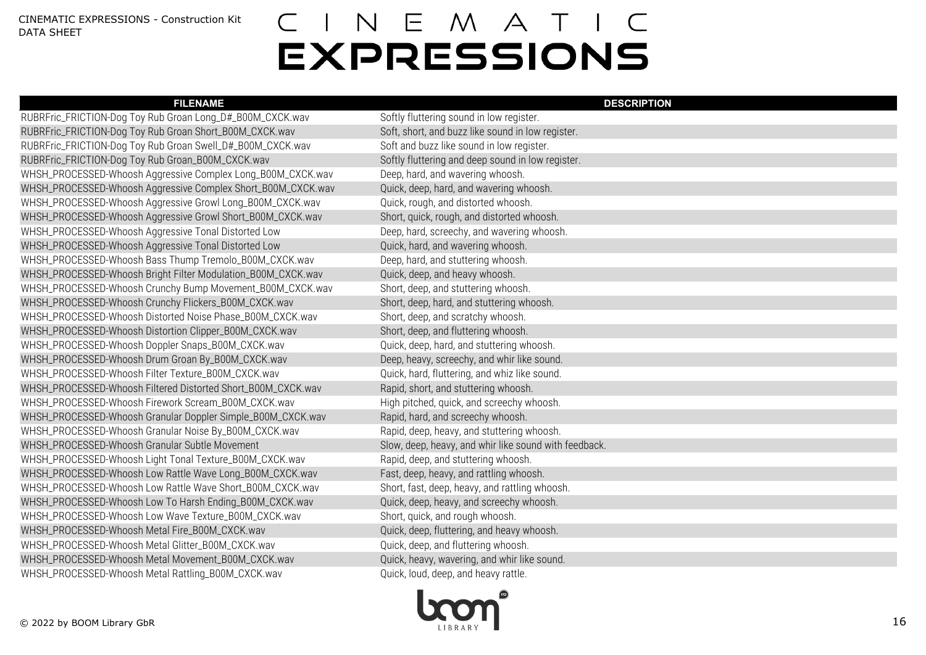| <b>FILENAME</b>                                              | <b>DESCRIPTION</b>                                    |
|--------------------------------------------------------------|-------------------------------------------------------|
| RUBRFric_FRICTION-Dog Toy Rub Groan Long_D#_B00M_CXCK.wav    | Softly fluttering sound in low register.              |
| RUBRFric_FRICTION-Dog Toy Rub Groan Short_B00M_CXCK.wav      | Soft, short, and buzz like sound in low register.     |
| RUBRFric_FRICTION-Dog Toy Rub Groan Swell_D#_B00M_CXCK.wav   | Soft and buzz like sound in low register.             |
| RUBRFric_FRICTION-Dog Toy Rub Groan_B00M_CXCK.wav            | Softly fluttering and deep sound in low register.     |
| WHSH_PROCESSED-Whoosh Aggressive Complex Long_B00M_CXCK.wav  | Deep, hard, and wavering whoosh.                      |
| WHSH_PROCESSED-Whoosh Aggressive Complex Short_B00M_CXCK.wav | Quick, deep, hard, and wavering whoosh.               |
| WHSH_PROCESSED-Whoosh Aggressive Growl Long_B00M_CXCK.wav    | Quick, rough, and distorted whoosh.                   |
| WHSH_PROCESSED-Whoosh Aggressive Growl Short_B00M_CXCK.wav   | Short, quick, rough, and distorted whoosh.            |
| WHSH_PROCESSED-Whoosh Aggressive Tonal Distorted Low         | Deep, hard, screechy, and wavering whoosh.            |
| WHSH_PROCESSED-Whoosh Aggressive Tonal Distorted Low         | Quick, hard, and wavering whoosh.                     |
| WHSH_PROCESSED-Whoosh Bass Thump Tremolo_B00M_CXCK.wav       | Deep, hard, and stuttering whoosh.                    |
| WHSH_PROCESSED-Whoosh Bright Filter Modulation_B00M_CXCK.wav | Quick, deep, and heavy whoosh.                        |
| WHSH_PROCESSED-Whoosh Crunchy Bump Movement_B00M_CXCK.wav    | Short, deep, and stuttering whoosh.                   |
| WHSH_PROCESSED-Whoosh Crunchy Flickers_B00M_CXCK.wav         | Short, deep, hard, and stuttering whoosh.             |
| WHSH_PROCESSED-Whoosh Distorted Noise Phase_B00M_CXCK.wav    | Short, deep, and scratchy whoosh.                     |
| WHSH_PROCESSED-Whoosh Distortion Clipper_B00M_CXCK.wav       | Short, deep, and fluttering whoosh.                   |
| WHSH_PROCESSED-Whoosh Doppler Snaps_B00M_CXCK.wav            | Quick, deep, hard, and stuttering whoosh.             |
| WHSH_PROCESSED-Whoosh Drum Groan By_B00M_CXCK.wav            | Deep, heavy, screechy, and whir like sound.           |
| WHSH_PROCESSED-Whoosh Filter Texture_B00M_CXCK.wav           | Quick, hard, fluttering, and whiz like sound.         |
| WHSH_PROCESSED-Whoosh Filtered Distorted Short_B00M_CXCK.wav | Rapid, short, and stuttering whoosh.                  |
| WHSH_PROCESSED-Whoosh Firework Scream_B00M_CXCK.wav          | High pitched, quick, and screechy whoosh.             |
| WHSH_PROCESSED-Whoosh Granular Doppler Simple_B00M_CXCK.wav  | Rapid, hard, and screechy whoosh.                     |
| WHSH_PROCESSED-Whoosh Granular Noise By_B00M_CXCK.wav        | Rapid, deep, heavy, and stuttering whoosh.            |
| WHSH_PROCESSED-Whoosh Granular Subtle Movement               | Slow, deep, heavy, and whir like sound with feedback. |
| WHSH_PROCESSED-Whoosh Light Tonal Texture_B00M_CXCK.wav      | Rapid, deep, and stuttering whoosh.                   |
| WHSH_PROCESSED-Whoosh Low Rattle Wave Long_B00M_CXCK.wav     | Fast, deep, heavy, and rattling whoosh.               |
| WHSH_PROCESSED-Whoosh Low Rattle Wave Short_B00M_CXCK.wav    | Short, fast, deep, heavy, and rattling whoosh.        |
| WHSH_PROCESSED-Whoosh Low To Harsh Ending_B00M_CXCK.wav      | Quick, deep, heavy, and screechy whoosh.              |
| WHSH_PROCESSED-Whoosh Low Wave Texture_B00M_CXCK.wav         | Short, quick, and rough whoosh.                       |
| WHSH_PROCESSED-Whoosh Metal Fire_B00M_CXCK.wav               | Quick, deep, fluttering, and heavy whoosh.            |
| WHSH_PROCESSED-Whoosh Metal Glitter_B00M_CXCK.wav            | Quick, deep, and fluttering whoosh.                   |
| WHSH_PROCESSED-Whoosh Metal Movement_B00M_CXCK.wav           | Quick, heavy, wavering, and whir like sound.          |
| WHSH_PROCESSED-Whoosh Metal Rattling_B00M_CXCK.wav           | Quick, loud, deep, and heavy rattle.                  |
|                                                              |                                                       |

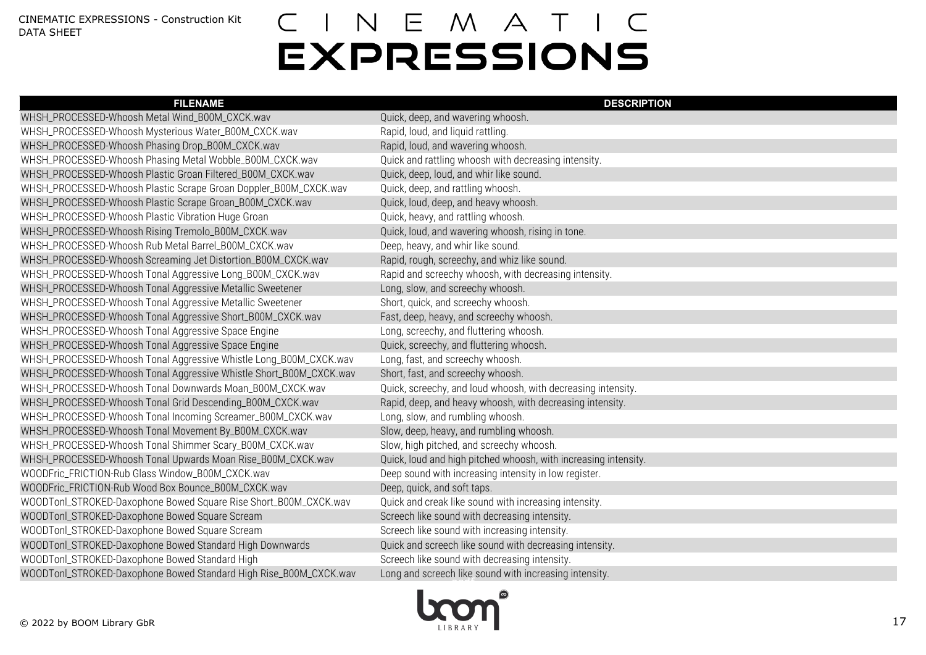| <b>FILENAME</b>                                                    | <b>DESCRIPTION</b>                                              |
|--------------------------------------------------------------------|-----------------------------------------------------------------|
| WHSH_PROCESSED-Whoosh Metal Wind_B00M_CXCK.wav                     | Quick, deep, and wavering whoosh.                               |
| WHSH_PROCESSED-Whoosh Mysterious Water_B00M_CXCK.wav               | Rapid, loud, and liquid rattling.                               |
| WHSH_PROCESSED-Whoosh Phasing Drop_B00M_CXCK.wav                   | Rapid, loud, and wavering whoosh.                               |
| WHSH_PROCESSED-Whoosh Phasing Metal Wobble_B00M_CXCK.wav           | Quick and rattling whoosh with decreasing intensity.            |
| WHSH_PROCESSED-Whoosh Plastic Groan Filtered_B00M_CXCK.wav         | Quick, deep, loud, and whir like sound.                         |
| WHSH_PROCESSED-Whoosh Plastic Scrape Groan Doppler_B00M_CXCK.wav   | Quick, deep, and rattling whoosh.                               |
| WHSH_PROCESSED-Whoosh Plastic Scrape Groan_B00M_CXCK.wav           | Quick, loud, deep, and heavy whoosh.                            |
| WHSH_PROCESSED-Whoosh Plastic Vibration Huge Groan                 | Quick, heavy, and rattling whoosh.                              |
| WHSH_PROCESSED-Whoosh Rising Tremolo_B00M_CXCK.wav                 | Quick, loud, and wavering whoosh, rising in tone.               |
| WHSH_PROCESSED-Whoosh Rub Metal Barrel_B00M_CXCK.wav               | Deep, heavy, and whir like sound.                               |
| WHSH_PROCESSED-Whoosh Screaming Jet Distortion_B00M_CXCK.wav       | Rapid, rough, screechy, and whiz like sound.                    |
| WHSH_PROCESSED-Whoosh Tonal Aggressive Long_B00M_CXCK.wav          | Rapid and screechy whoosh, with decreasing intensity.           |
| WHSH_PROCESSED-Whoosh Tonal Aggressive Metallic Sweetener          | Long, slow, and screechy whoosh.                                |
| WHSH_PROCESSED-Whoosh Tonal Aggressive Metallic Sweetener          | Short, quick, and screechy whoosh.                              |
| WHSH_PROCESSED-Whoosh Tonal Aggressive Short_B00M_CXCK.wav         | Fast, deep, heavy, and screechy whoosh.                         |
| WHSH_PROCESSED-Whoosh Tonal Aggressive Space Engine                | Long, screechy, and fluttering whoosh.                          |
| WHSH_PROCESSED-Whoosh Tonal Aggressive Space Engine                | Quick, screechy, and fluttering whoosh.                         |
| WHSH_PROCESSED-Whoosh Tonal Aggressive Whistle Long_B00M_CXCK.wav  | Long, fast, and screechy whoosh.                                |
| WHSH_PROCESSED-Whoosh Tonal Aggressive Whistle Short_B00M_CXCK.wav | Short, fast, and screechy whoosh.                               |
| WHSH_PROCESSED-Whoosh Tonal Downwards Moan_B00M_CXCK.wav           | Quick, screechy, and loud whoosh, with decreasing intensity.    |
| WHSH_PROCESSED-Whoosh Tonal Grid Descending_B00M_CXCK.wav          | Rapid, deep, and heavy whoosh, with decreasing intensity.       |
| WHSH_PROCESSED-Whoosh Tonal Incoming Screamer_B00M_CXCK.wav        | Long, slow, and rumbling whoosh.                                |
| WHSH_PROCESSED-Whoosh Tonal Movement By_B00M_CXCK.wav              | Slow, deep, heavy, and rumbling whoosh.                         |
| WHSH_PROCESSED-Whoosh Tonal Shimmer Scary_B00M_CXCK.wav            | Slow, high pitched, and screechy whoosh.                        |
| WHSH_PROCESSED-Whoosh Tonal Upwards Moan Rise_B00M_CXCK.wav        | Quick, loud and high pitched whoosh, with increasing intensity. |
| WOODFric_FRICTION-Rub Glass Window_B00M_CXCK.wav                   | Deep sound with increasing intensity in low register.           |
| WOODFric_FRICTION-Rub Wood Box Bounce_B00M_CXCK.wav                | Deep, quick, and soft taps.                                     |
| WOODTonl_STROKED-Daxophone Bowed Square Rise Short_B00M_CXCK.wav   | Quick and creak like sound with increasing intensity.           |
| WOODTonl_STROKED-Daxophone Bowed Square Scream                     | Screech like sound with decreasing intensity.                   |
| WOODTonl_STROKED-Daxophone Bowed Square Scream                     | Screech like sound with increasing intensity.                   |
| WOODTonl_STROKED-Daxophone Bowed Standard High Downwards           | Quick and screech like sound with decreasing intensity.         |
| WOODTonl_STROKED-Daxophone Bowed Standard High                     | Screech like sound with decreasing intensity.                   |
| WOODTonl_STROKED-Daxophone Bowed Standard High Rise_B00M_CXCK.wav  | Long and screech like sound with increasing intensity.          |